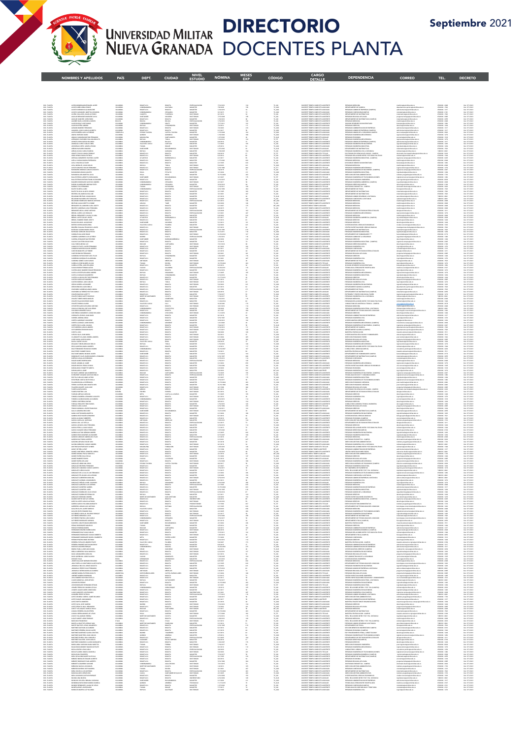

4

## DIRECTORIO UNIVERSIDAD MILITAR **DIRECTURIU**<br>NUEVA GRANADA DOCENTES PLANTA

Septiembre 2021

|                                                      | <b>NOMBRES Y APELLIDOS</b>                                                                                                                                                                                                                                                                                                                                                                                                                                                        | <b>PAÍS</b>                                                                                                                                                                                                                                  | DEPT.                                                                                                                                                                                                                                                                                                                                                                                                                   | <b>CIUDAD</b>                                                                                                                                                                                                                                                                                                                                                                                                          | <b>ESTUDIO</b>                                                                                                                                                                                                                                                                                                                                                                                                                      | <b>NÓMINA</b>                                                                                                                       | 固书书<br><b>EXP</b>                                               | CÓDIGO                                                                                                                                                                                                                         | <b>CARGO</b><br><b>DETALLE</b>                                                                                                                                                                                                                                                                                                                                                                                              | <b>DEPENDENCIA</b>                                                                                                                                                                                                                                           | <b>CORREO</b>                                                                                                                                                                                                                                                                                                                                                                                                                                                                                                                                                                                                                           | TEL.                                                                                                                                                                                                                                                                                                                             | <b>DECRETO</b>                                                                                                                                                                                                                                                                                                                                                |
|------------------------------------------------------|-----------------------------------------------------------------------------------------------------------------------------------------------------------------------------------------------------------------------------------------------------------------------------------------------------------------------------------------------------------------------------------------------------------------------------------------------------------------------------------|----------------------------------------------------------------------------------------------------------------------------------------------------------------------------------------------------------------------------------------------|-------------------------------------------------------------------------------------------------------------------------------------------------------------------------------------------------------------------------------------------------------------------------------------------------------------------------------------------------------------------------------------------------------------------------|------------------------------------------------------------------------------------------------------------------------------------------------------------------------------------------------------------------------------------------------------------------------------------------------------------------------------------------------------------------------------------------------------------------------|-------------------------------------------------------------------------------------------------------------------------------------------------------------------------------------------------------------------------------------------------------------------------------------------------------------------------------------------------------------------------------------------------------------------------------------|-------------------------------------------------------------------------------------------------------------------------------------|-----------------------------------------------------------------|--------------------------------------------------------------------------------------------------------------------------------------------------------------------------------------------------------------------------------|-----------------------------------------------------------------------------------------------------------------------------------------------------------------------------------------------------------------------------------------------------------------------------------------------------------------------------------------------------------------------------------------------------------------------------|--------------------------------------------------------------------------------------------------------------------------------------------------------------------------------------------------------------------------------------------------------------|-----------------------------------------------------------------------------------------------------------------------------------------------------------------------------------------------------------------------------------------------------------------------------------------------------------------------------------------------------------------------------------------------------------------------------------------------------------------------------------------------------------------------------------------------------------------------------------------------------------------------------------------|----------------------------------------------------------------------------------------------------------------------------------------------------------------------------------------------------------------------------------------------------------------------------------------------------------------------------------|---------------------------------------------------------------------------------------------------------------------------------------------------------------------------------------------------------------------------------------------------------------------------------------------------------------------------------------------------------------|
|                                                      |                                                                                                                                                                                                                                                                                                                                                                                                                                                                                   |                                                                                                                                                                                                                                              |                                                                                                                                                                                                                                                                                                                                                                                                                         |                                                                                                                                                                                                                                                                                                                                                                                                                        |                                                                                                                                                                                                                                                                                                                                                                                                                                     |                                                                                                                                     |                                                                 |                                                                                                                                                                                                                                |                                                                                                                                                                                                                                                                                                                                                                                                                             |                                                                                                                                                                                                                                                              |                                                                                                                                                                                                                                                                                                                                                                                                                                                                                                                                                                                                                                         |                                                                                                                                                                                                                                                                                                                                  |                                                                                                                                                                                                                                                                                                                                                               |
|                                                      |                                                                                                                                                                                                                                                                                                                                                                                                                                                                                   |                                                                                                                                                                                                                                              |                                                                                                                                                                                                                                                                                                                                                                                                                         |                                                                                                                                                                                                                                                                                                                                                                                                                        |                                                                                                                                                                                                                                                                                                                                                                                                                                     |                                                                                                                                     |                                                                 |                                                                                                                                                                                                                                |                                                                                                                                                                                                                                                                                                                                                                                                                             |                                                                                                                                                                                                                                                              |                                                                                                                                                                                                                                                                                                                                                                                                                                                                                                                                                                                                                                         |                                                                                                                                                                                                                                                                                                                                  |                                                                                                                                                                                                                                                                                                                                                               |
|                                                      | ACERO MONDRAGON EDWARD JANER<br>ACERTA REGIONAL DESA CONSTANTA DE CONTRA REGIONAL DE CARACTER DE CONSTANT<br>ACERTA REGIONAL DE LA MARIA ACERTA<br>ACUNA COLLAZION JANERA ELEGIONAL<br>ACERA REGIONAL DE LA MARIA ACERTA<br>ACERTA DE LA MAR                                                                                                                                                                                                                                      |                                                                                                                                                                                                                                              | ROGOTA DE<br>CURDINAMARCA<br>CURDINAMARCA<br>CURDINAMA<br>SANTANDER<br>ROGOTA DE<br>CURDINAMARCA<br>ROGOTA DE<br>ROGOTA DE<br>ROGOTA DE<br>ROGOTA DE                                                                                                                                                                                                                                                                    | ROGOTA<br>ROGOTA<br>ROGOTA<br>FLOGRACIA<br>FLOGRACIA<br>ROGOTA<br>ROGOTA<br>ROGOTA<br>ROGOTA<br>ROGOTA<br>ROGOTA<br>ROGOTA<br>ROGOTA<br>ROGOTA<br>ROGOTA<br>ROGOTA<br>ROGOTA<br>ROGOTA<br>ROGOTA<br>ROGOTA<br>ROGOTA<br>ROGOTA<br>ROGOTA<br>ROGOTA<br>ROGOTA<br>ROGOTA<br>ROGOTA<br>ROGOTA<br>ROGOTA<br>ROGOTA                                                                                                         | ESPECIALIZACON<br>MADEITER<br>MADEITER<br>MADEITER<br>DOCTORADO<br>DOCTORADO<br>ESPECIALIZACON<br>DOCTORADO<br>DOCTORADO<br>DOCTORADO<br>DOCTORADO                                                                                                                                                                                                                                                                                  | 7/16/2010<br>7/8/2008<br>1/16/2016<br>9/1/2015                                                                                      | $134$<br>$158$<br>$32$                                          | TC ASD 12 A REAGE TO A REAL AND REAL AND REAL AND REAL AND REAL AND REAL AND REAL AND REAL AND REAL AND REAL AND REAL AND REAL AND REAL AND REAL AND REAL AND REAL AND REAL AND REAL AND REAL AND REAL AND REAL AND REAL AND R | DOCENTETAMPO COMPLETO ASSISTENTE<br>DOCENTETAMPO COMPLETO ASOCIADO<br>DOCENTETAMPO COMPLETO ASOCIADO<br>DOCENTETAMPO COMPLETO ASOCIADO<br>COMPETE TAMPO COMPLETO ASSISTENTE                                                                                                                                                                                                                                                 | PRESIDENTICOM<br>RESIDENCIA COMPANYA ESPERANTE (MAPRIMO EN CONTRADO CON COMPANYA EN CONTRA<br>RESIDENCIA CON CONSUMERANTE (MAPRIMO EN CONTRA<br>RESIDENCIA CON EN CONTRA (MAPRIMO EN CONTRA<br>RESIDENCIA CON CONTRA (MAPRIMO EN CONT                        | $\begin{small} \texttt{model} & \texttt{model} & \texttt{label} \\ \texttt{model} & \texttt{model} & \texttt{label} \\ \texttt{model} & \texttt{model} & \texttt{label} \\ \texttt{model} & \texttt{model} & \texttt{model} \\ \texttt{model} & \texttt{model} & \texttt{model} \\ \texttt{model} & \texttt{model} & \texttt{model} \\ \texttt{model} & \texttt{model} & \texttt{model} \\ \texttt{model} & \texttt{model} & \texttt{model} \\ \texttt{model} & \texttt{model} & \texttt{model} \\ \texttt{model} & \texttt{model} & \texttt{model} \\ \texttt{model$                                                                   |                                                                                                                                                                                                                                                                                                                                  |                                                                                                                                                                                                                                                                                                                                                               |
|                                                      |                                                                                                                                                                                                                                                                                                                                                                                                                                                                                   | COLOMBIA<br>COLOMBIA<br>COLOMBIA<br>COLOMBIA<br>COLOMBIA<br>COLOMBIA<br>COLOMBIA<br>COLOMBIA<br>COLOMBIA<br>COLOMBIA                                                                                                                         |                                                                                                                                                                                                                                                                                                                                                                                                                         |                                                                                                                                                                                                                                                                                                                                                                                                                        |                                                                                                                                                                                                                                                                                                                                                                                                                                     | 4/1/2016<br>3/15/2008<br>1/16/2016<br>1/16/2010                                                                                     |                                                                 |                                                                                                                                                                                                                                | DOCENTE TEMPO COMPLETO AGSTENTE<br>DOCENTE TEMPO COMPLETO AGSTENTE<br>DOCENTE TEMPO COMPLETO AGSTENTE                                                                                                                                                                                                                                                                                                                       |                                                                                                                                                                                                                                                              |                                                                                                                                                                                                                                                                                                                                                                                                                                                                                                                                                                                                                                         |                                                                                                                                                                                                                                                                                                                                  | $\begin{array}{l} \text{Dec. 67-322} \\ \text{Dec. 67-3222} \\ \text{Dec. 67-3222} \\ \text{Dec. 67-3222} \\ \text{Dec. 67-3222} \\ \text{Dec. 67-3222} \\ \text{Dec. 67-3222} \\ \text{Dec. 67-3222} \\ \text{Dec. 67-3222} \\ \text{Dec. 67-3222} \\ \text{Dec. 67-3222} \\ \text{Dec. 67-3222} \\ \text{Dec. 67-3222} \\ \text{Dec. 67-3222} \\ \text{Dec$ |
|                                                      |                                                                                                                                                                                                                                                                                                                                                                                                                                                                                   |                                                                                                                                                                                                                                              |                                                                                                                                                                                                                                                                                                                                                                                                                         |                                                                                                                                                                                                                                                                                                                                                                                                                        |                                                                                                                                                                                                                                                                                                                                                                                                                                     | 3/13/2011<br>3/3/2012<br>3/3/2003                                                                                                   |                                                                 |                                                                                                                                                                                                                                | DOCENTE TIEMPO COMPLETO ASISTENTE<br>DOCENTE TIEMPO COMPLETO ASISTENTE<br>DOCENTE TIEMPO COMPLETO ASIOCIADO<br>DOCENTE TIEMPO COMPLETO ASIOCIADO                                                                                                                                                                                                                                                                            |                                                                                                                                                                                                                                                              |                                                                                                                                                                                                                                                                                                                                                                                                                                                                                                                                                                                                                                         | 650000-1068<br>650000-1266<br>650000-1217<br>650000-1217                                                                                                                                                                                                                                                                         |                                                                                                                                                                                                                                                                                                                                                               |
|                                                      |                                                                                                                                                                                                                                                                                                                                                                                                                                                                                   | COLOMBIA                                                                                                                                                                                                                                     | <b>BOGOTA D.C.</b><br>ESTADO TACHIE<br>QUINDIO<br>MAGDALENA                                                                                                                                                                                                                                                                                                                                                             |                                                                                                                                                                                                                                                                                                                                                                                                                        |                                                                                                                                                                                                                                                                                                                                                                                                                                     | 2/1/201                                                                                                                             |                                                                 |                                                                                                                                                                                                                                |                                                                                                                                                                                                                                                                                                                                                                                                                             |                                                                                                                                                                                                                                                              |                                                                                                                                                                                                                                                                                                                                                                                                                                                                                                                                                                                                                                         |                                                                                                                                                                                                                                                                                                                                  |                                                                                                                                                                                                                                                                                                                                                               |
|                                                      | ALEMAN RAMSET FREEMOND<br>ALEMANEA JUNCO CARES ALEMEN<br>ALEMANEA JUNCO CARES AND ARRIVE AND ARRIVE CARES<br>ANGLE CARES AND ARRIVE CARES AND ARRIVE CARES AND ARRIVE CARES AND ARRIVE CARES<br>AND ARRIVES CARE FROM WILLING ARRIVES AND                                                                                                                                                                                                                                         | VINEZUELA<br>COLOMBIA<br>COLOMBIA<br>COLOMBIA                                                                                                                                                                                                |                                                                                                                                                                                                                                                                                                                                                                                                                         |                                                                                                                                                                                                                                                                                                                                                                                                                        | DOCTORADO<br>MAGITER<br>DOCTORADO<br>MAGITER<br>DOCTORADO<br>MAGITER<br>MAGITER<br>MAGITER<br>DOCTORADO                                                                                                                                                                                                                                                                                                                             | 7/16/2010                                                                                                                           |                                                                 |                                                                                                                                                                                                                                | $\begin{tabular}{l c c c} \hline \textbf{CCGEM} & \textbf{FGAG} & \textbf{GCGEM} & \textbf{0.566} \\ \hline \textbf{DCGEM} & \textbf{TGAG} & \textbf{CCGME} & \textbf{0.566} \\ \hline \textbf{DCGEM} & \textbf{TGAG} & \textbf{CCGME} & \textbf{0.566} \\ \hline \textbf{DCGEM} & \textbf{TGAG} & \textbf{CCGME} & \textbf{0.566} \\ \hline \textbf{DCGEM} & \textbf{TGAG} & \textbf{CCGME} & \textbf{0.566} \\ \hline$    |                                                                                                                                                                                                                                                              |                                                                                                                                                                                                                                                                                                                                                                                                                                                                                                                                                                                                                                         |                                                                                                                                                                                                                                                                                                                                  |                                                                                                                                                                                                                                                                                                                                                               |
|                                                      |                                                                                                                                                                                                                                                                                                                                                                                                                                                                                   | COLOMBIA<br>COLOMBIA<br>COLOMBIA<br>COLOMBIA                                                                                                                                                                                                 | MADRIANA<br>Condenamièca<br>Vallé dél cauc<br>Tolina<br>Santandér                                                                                                                                                                                                                                                                                                                                                       |                                                                                                                                                                                                                                                                                                                                                                                                                        |                                                                                                                                                                                                                                                                                                                                                                                                                                     | 8/6/2018<br>7/1/2025<br>2/5/2014<br>1/27/2026                                                                                       |                                                                 |                                                                                                                                                                                                                                |                                                                                                                                                                                                                                                                                                                                                                                                                             |                                                                                                                                                                                                                                                              |                                                                                                                                                                                                                                                                                                                                                                                                                                                                                                                                                                                                                                         |                                                                                                                                                                                                                                                                                                                                  |                                                                                                                                                                                                                                                                                                                                                               |
|                                                      | ARMAN NAVARIS DINACO<br>ARENAS DATA CARE EXABA<br>AREN'N PALIDO CAMILO ENREGIA<br>ARAS HENAD DANA RITROSA<br>ARTA A NARASA MARA ESPERANTA<br>ARTA A NARASA MARA ESPERANTA<br>ARIA CHACON LUZ DARY                                                                                                                                                                                                                                                                                 | COLONIERA<br>COLONIERA<br>COLONIERA<br>COLONIERA<br>COLONIERA                                                                                                                                                                                | <b>BOIXCA</b>                                                                                                                                                                                                                                                                                                                                                                                                           | GARAGOA<br>BOSCTA<br>BOSCTA<br>BOSCTA<br>BOSCTA                                                                                                                                                                                                                                                                                                                                                                        | $\begin{array}{l} \textbf{MSE} \textbf{11} \textbf{1} \textbf{1} \textbf{1} \textbf{1} \textbf{1} \textbf{1} \textbf{1} \textbf{1} \textbf{1} \textbf{1} \textbf{1} \textbf{1} \textbf{1} \textbf{1} \textbf{1} \textbf{1} \textbf{1} \textbf{1} \textbf{1} \textbf{1} \textbf{1} \textbf{1} \textbf{1} \textbf{1} \textbf{1} \textbf{1} \textbf{1} \textbf{1} \textbf{1} \textbf{1} \textbf{1} \textbf{1} \textbf{1} \$            | 7/18/2000<br>8/6/2018<br>6/3/2014<br>2/1/2017<br>1/17/2020                                                                          |                                                                 | TC_ASI<br>TC_TIT<br>TC_ASI<br>TC_ASI<br>TC_ASI<br>TC_ASI                                                                                                                                                                       | DOCANTI TRANG COMPLETO AURITANI<br>DOCANTI TRANG COMPLETO RISITENIE<br>DOCANTI TRANG COMPLETO TRALAR<br>DOCANTI TRANG COMPLETO AUSTENIE<br>DOCANTI TRANG COMPLETO AUSTENIE<br>DOCANTI TRANG COMPLETO AUSTENIE<br>DOCANTI TRANG COMPLETO AUSTENIE                                                                                                                                                                            | DIMMININTO IN MATIMATICAL<br>PRESINDO MEIDIERRA CHILA DESTANCIA<br>DOCTORIO DE L'ENDICAR AFLICADIRI – CAMPIS<br>PRESINDO RELACIONES INTER V ESTUDIOS POLITICOS<br>PRESINDO MEINERIA<br>DIVISION DE SERVETRA<br>DIVISION DE SERVETRA INDISTRINO<br>D          | codes and invitation of the                                                                                                                                                                                                                                                                                                                                                                                                                                                                                                                                                                                                             |                                                                                                                                                                                                                                                                                                                                  | Dec 971/2021<br>Dec 971/2021<br>Dec 971/2021<br>Dec 971/2021<br>Dec 971/2021<br>Dec 971/2021                                                                                                                                                                                                                                                                  |
|                                                      |                                                                                                                                                                                                                                                                                                                                                                                                                                                                                   |                                                                                                                                                                                                                                              | BOSCTARC<br>BOSCTARC<br>ATLANTICO<br>BOSCTARC<br>BOSCTARC                                                                                                                                                                                                                                                                                                                                                               |                                                                                                                                                                                                                                                                                                                                                                                                                        |                                                                                                                                                                                                                                                                                                                                                                                                                                     | 2/1/1995                                                                                                                            |                                                                 |                                                                                                                                                                                                                                |                                                                                                                                                                                                                                                                                                                                                                                                                             |                                                                                                                                                                                                                                                              | doctorada dienciasaplicadas@urimil<br>releterral@urimilitacedu.co<br>ingenieria.campus@urimilitacedu.co<br>medicina@urimilitacedu.co<br>bienezar@urimilitacedu.co                                                                                                                                                                                                                                                                                                                                                                                                                                                                       |                                                                                                                                                                                                                                                                                                                                  |                                                                                                                                                                                                                                                                                                                                                               |
|                                                      | $\begin{tabular}{l c c c} \hline \multicolumn{3}{l}{\multicolumn{3}{l}{\multicolumn{3}{l}{\multicolumn{3}{l}{\multicolumn{3}{l}{\multicolumn{3}{l}{\multicolumn{3}{l}{\multicolumn{3}{l}{\multicolumn{3}{l}{\multicolumn{3}{l}{\multicolumn{3}{l}{\multicolumn{3}{l}{\multicolumn{3}{l}{\multicolumn{3}{l}{\multicolumn{3}{l}{\multicolumn{3}{l}{\multicolumn{3}{l}{\multicolumn{3}{l}{\multicolumn{3}{l}{\multicolumn{3}{l}{\multicolumn{3}{l}{\multicolumn{3}{l}{\multicolumn{$ | COLONIA<br>COLONIA<br>COLONIA<br>COLONIA<br>COLONIA<br>COLONIA<br>COLONIA<br>COLONIA<br>COLONIA<br>COLONIA<br>COLONIA<br>COLONIA<br>COLONIA<br>COLONIA                                                                                       | ROSOTARC<br>ROSOTARC<br>ROSOTARC<br>RUSA<br>MILA<br>SANTANGR<br>CHADRAMARCA<br>CHADRAMARCA<br>CHADRAMARCA<br>CHADRAMARCA<br>ROSOTARC<br>ROSOTARC<br>ROSOTARCA<br>ROSOTARCA                                                                                                                                                                                                                                              | $\begin{tabular}{l c c c} \hline \textbf{B} \textbf{B} \textbf{B} \textbf{B} \textbf{B} \textbf{B} \textbf{B} \textbf{B} \textbf{B} \textbf{B} \textbf{B} \textbf{B} \textbf{B} \textbf{B} \textbf{B} \textbf{B} \textbf{B} \textbf{B} \textbf{B} \textbf{B} \textbf{B} \textbf{B} \textbf{B} \textbf{B} \textbf{B} \textbf{B} \textbf{B} \textbf{B} \textbf{B} \textbf{B} \textbf{B} \textbf{B} \textbf{B} \textbf{B$ |                                                                                                                                                                                                                                                                                                                                                                                                                                     | 4/1/783<br>5/3/2003<br>3/16/1998<br>7/6/2015<br>3/1/2006<br>3/1/2006                                                                |                                                                 | TC, ASD<br>TC, TTC, ASB<br>TC, ASB<br>TC, ASB<br>TC, ASB<br>TC, ASB<br>TC, ASB                                                                                                                                                 | ECONOMIC TRESPOS CONFILITO ARITEMIS (2001)<br>CONSIDERATION CONSINUES CONFIDENTIAL CONFIDENCIAL CONFIDENCIAL CONFIDENTIAL CONFIDENTIAL CONFIDENTIAL CONFIDENTIAL CONFIDENTIAL CONFIDENTIAL CONFIDENTIAL CONFIDENTIAL CONFIDENTIA                                                                                                                                                                                            | DYMISSING MARKETAN (HANDELING)<br>FREGRADO MATEINA (HELITARISMO)<br>FREGRADO MATEINA (HELITARISMO)<br>FREGRADO MATEINA INSTITUIRA (HELITARISMO)<br>PREGRADO MATEINA NE TILECOMANICACIONE<br>PREGRADO MATEINA (HELITARISMO)<br>FREGRADO MATEINA               | $\begin{small} \textbf{m} & \textbf{m} & \textbf{m} \\ \textbf{m} & \textbf{m} & \textbf{m} \\ \textbf{m} & \textbf{m} & \textbf{m} \\ \textbf{m} & \textbf{m} & \textbf{m} \\ \textbf{m} & \textbf{m} & \textbf{m} \\ \textbf{m} & \textbf{m} & \textbf{m} \\ \textbf{m} & \textbf{m} & \textbf{m} \\ \textbf{m} & \textbf{m} & \textbf{m} \\ \textbf{m} & \textbf{m} & \textbf{m} \\ \textbf{m} & \textbf{m} & \textbf{m} \\ \textbf{m$                                                                                                                                                                                               | $\begin{array}{r} 6500000\!-\!1064\\ 6500000\!-\!2044\\ 6500000\!-\!1276\\ 6500000\!-\!1276\\ 6500000\!-\!1264\\ 6500000\!-\!1264\\ 6500000\!-\!1224\\ 6500000\!-\!1224\\ 6500000\!-\!1224\\ 6500000\!-\!1224\\ 6500000\!-\!1224\\ 6500000\!-\!1224\\ 6500000\$                                                                  | 0sc 471/2221<br>0sc 471/223<br>0sc 471/223<br>0sc 471/223<br>0sc 471/223<br>0sc 471/223<br>0sc 471/223<br>0sc 471/2231<br>0sc 471/2231<br>0sc 471/2231<br>0sc 471/2231<br>0sc 471/2231<br>0sc 471/2231<br>0sc 471/2231<br>0sc 471/2231<br>0sc 471/2231                                                                                                        |
|                                                      |                                                                                                                                                                                                                                                                                                                                                                                                                                                                                   |                                                                                                                                                                                                                                              |                                                                                                                                                                                                                                                                                                                                                                                                                         |                                                                                                                                                                                                                                                                                                                                                                                                                        |                                                                                                                                                                                                                                                                                                                                                                                                                                     |                                                                                                                                     |                                                                 |                                                                                                                                                                                                                                |                                                                                                                                                                                                                                                                                                                                                                                                                             |                                                                                                                                                                                                                                                              |                                                                                                                                                                                                                                                                                                                                                                                                                                                                                                                                                                                                                                         |                                                                                                                                                                                                                                                                                                                                  |                                                                                                                                                                                                                                                                                                                                                               |
|                                                      |                                                                                                                                                                                                                                                                                                                                                                                                                                                                                   |                                                                                                                                                                                                                                              |                                                                                                                                                                                                                                                                                                                                                                                                                         |                                                                                                                                                                                                                                                                                                                                                                                                                        |                                                                                                                                                                                                                                                                                                                                                                                                                                     | 1/13/2015<br>3/1/2017                                                                                                               |                                                                 |                                                                                                                                                                                                                                |                                                                                                                                                                                                                                                                                                                                                                                                                             |                                                                                                                                                                                                                                                              |                                                                                                                                                                                                                                                                                                                                                                                                                                                                                                                                                                                                                                         |                                                                                                                                                                                                                                                                                                                                  |                                                                                                                                                                                                                                                                                                                                                               |
|                                                      |                                                                                                                                                                                                                                                                                                                                                                                                                                                                                   |                                                                                                                                                                                                                                              |                                                                                                                                                                                                                                                                                                                                                                                                                         |                                                                                                                                                                                                                                                                                                                                                                                                                        |                                                                                                                                                                                                                                                                                                                                                                                                                                     | 4116/2014<br>1/14/2011<br>1/1/1996<br>2/1/1996<br>3/1/2001                                                                          |                                                                 | TC,ASI<br>TC,TIT<br>TC,ASI<br>TC,ASI<br>TC,ASI                                                                                                                                                                                 |                                                                                                                                                                                                                                                                                                                                                                                                                             |                                                                                                                                                                                                                                                              |                                                                                                                                                                                                                                                                                                                                                                                                                                                                                                                                                                                                                                         |                                                                                                                                                                                                                                                                                                                                  |                                                                                                                                                                                                                                                                                                                                                               |
|                                                      | $\begin{split} &\text{Ric}(\mathcal{H}(\mathcal{H}(\mathcal{H}(\mathcal{H}(\mathcal{H}(\mathcal{H}(\mathcal{H}(\mathcal{H}(\mathcal{H}(\mathcal{H}(\mathcal{H}(\mathcal{H}(\mathcal{H}(\mathcal{H}(\mathcal{H}(\mathcal{H}(\mathcal{H}(\mathcal{H}(\mathcal{H}(\mathcal{H}(\mathcal{H}(\mathcal{H}(\mathcal{H}(\mathcal{H}(\mathcal{H}(\mathcal{H}(\mathcal{H}(\mathcal{H}(\mathcal{H}(\mathcal{H}(\mathcal{H}(\mathcal{H}(\mathcal{H}(\mathcal{H}(\mathcal{$                     | COLOMINA<br>COLOMINA<br>COLOMINA<br>COLOMINA<br>COLOMINA<br>COLOMINA<br>COLOMINA<br>COLOMINA<br>COLOMINA<br>COLOMINA<br>COLOMINA<br>COLOMINA                                                                                                 | RODON B.C.<br>RODON B.C.<br>RODON B.C.<br>RODON B.C.<br>RODON B.C.<br>RODON B.C.<br>RODON B.C.<br>RODON B.C.<br>RODON B.C.<br>RODON B.C.<br>RODON B.C.<br>RODON B.C.<br>RODON B.C.<br>RODON B.C.<br>RODON B.C.<br>RODON B.C.<br>RODON B.C.<br>RODON B.C.<br>RODON B.C.                                                                                                                                                  |                                                                                                                                                                                                                                                                                                                                                                                                                        |                                                                                                                                                                                                                                                                                                                                                                                                                                     | 2/1/2005<br>2/1/2018<br>2/1/2005<br>6/1/2009<br>3/1/2007<br>2/1/2005<br>2/1/2008<br>2/1/2008                                        | $\begin{array}{r} 200 \\ 136 \\ 146 \\ 175 \end{array}$         | TCASE<br>TCASE<br>TCASE<br>TCASE<br>TCASE<br>TCASE<br>TCASE<br>TCASE                                                                                                                                                           | DOCENTE TEMPO COMPLETO AURILIAR<br>DOCENTE TEMPO COMPLETO AURITENTE<br>DOCENTE MEDIO TEMPO AURITENTE<br>DOCENTE MEDIO TEMPO AURITENTE<br>DOCENTE MEDIO TEMPO AUGUADO                                                                                                                                                                                                                                                        | PRESAGO ADMON SÉGURIDAD A DOSTANCIA<br>PRESAGO CONTADURA A DOSTANCIA<br>PRESAGO MATICINA<br>PRESAGO MEDICINA<br>PRESAGO MEDICINA                                                                                                                             |                                                                                                                                                                                                                                                                                                                                                                                                                                                                                                                                                                                                                                         | 0300000-1122<br>7802222-6841<br>6503000-2548<br>6503000-2548<br>6503000-2548<br>6503000-2548<br>6503000-2548<br>6503000-2548                                                                                                                                                                                                     | Dec 971/2021<br>Dec 971/2021<br>Dec 971/2021<br>Dec 971/2021<br>Dec 971/2021<br>Dec 971/2021<br>Dec 971/2021<br>Dec 971/2021<br>Dec 971/2021                                                                                                                                                                                                                  |
|                                                      |                                                                                                                                                                                                                                                                                                                                                                                                                                                                                   |                                                                                                                                                                                                                                              |                                                                                                                                                                                                                                                                                                                                                                                                                         |                                                                                                                                                                                                                                                                                                                                                                                                                        |                                                                                                                                                                                                                                                                                                                                                                                                                                     |                                                                                                                                     |                                                                 |                                                                                                                                                                                                                                |                                                                                                                                                                                                                                                                                                                                                                                                                             |                                                                                                                                                                                                                                                              |                                                                                                                                                                                                                                                                                                                                                                                                                                                                                                                                                                                                                                         |                                                                                                                                                                                                                                                                                                                                  |                                                                                                                                                                                                                                                                                                                                                               |
|                                                      |                                                                                                                                                                                                                                                                                                                                                                                                                                                                                   |                                                                                                                                                                                                                                              |                                                                                                                                                                                                                                                                                                                                                                                                                         |                                                                                                                                                                                                                                                                                                                                                                                                                        |                                                                                                                                                                                                                                                                                                                                                                                                                                     | 6/6/2002<br>8/1/2017<br>7/1/2016                                                                                                    |                                                                 |                                                                                                                                                                                                                                | <b>DOCART MENO TEAM-DADOCADO</b><br>COCART TEAM-DOCARTERIS<br>DOCART TEAM-DOCARTERIS<br>DOCARTE TEAM-DOCARTERIS<br>DOCARTE TEAM-DOCARTERIS<br>DOCARTE TEAM-DOCARTERIS<br>DOCARTERIS<br>DOCARTERIS<br>DOCARTERIS<br>DOCARTERIS<br>DOCARTERIS<br>DOCARTERIS<br>DOCARTERIS                                                                                                                                                     | PRESIADO MEDICINA<br>REGIARDO MEDICINA<br>DEPARTAMONTO DE ESTUDIOS INTERCICURALES<br>PRESIADO MEDICIRA MECATRIPICA<br>PRESIADO MEDICINA<br>MESSADO DESECHO<br>PRESIADO DESECHO<br>VERENADO DESECHO<br>VERENADO DESECHO<br>VERENADO DESECHO<br>VERENADO DESEC |                                                                                                                                                                                                                                                                                                                                                                                                                                                                                                                                                                                                                                         |                                                                                                                                                                                                                                                                                                                                  |                                                                                                                                                                                                                                                                                                                                                               |
|                                                      |                                                                                                                                                                                                                                                                                                                                                                                                                                                                                   |                                                                                                                                                                                                                                              |                                                                                                                                                                                                                                                                                                                                                                                                                         |                                                                                                                                                                                                                                                                                                                                                                                                                        |                                                                                                                                                                                                                                                                                                                                                                                                                                     | S/1/2013<br>S/2/2003                                                                                                                |                                                                 | TC_ASI<br>TC_AUX<br>TC_ASI<br>TC_ASI<br>TC_ASI                                                                                                                                                                                 |                                                                                                                                                                                                                                                                                                                                                                                                                             |                                                                                                                                                                                                                                                              |                                                                                                                                                                                                                                                                                                                                                                                                                                                                                                                                                                                                                                         | 6503030 - 2568<br>6503030 - 2558<br>6503030 - 1364<br>6503030 - 1362<br>6503030 - 1362                                                                                                                                                                                                                                           | Dec. 971/2021<br>Dec. 971/2021<br>Dec. 971/2021<br>Dec. 971/2021<br>Dec. 971/2021                                                                                                                                                                                                                                                                             |
|                                                      |                                                                                                                                                                                                                                                                                                                                                                                                                                                                                   | COLONINA<br>COLONINA<br>COLONINA<br>COLONINA<br>COLONINA                                                                                                                                                                                     | MARINE CAR<br>BOSOTARC<br>BOSOTARC<br>BOSOTARC<br>SANTANDER                                                                                                                                                                                                                                                                                                                                                             | PRIMIRA<br>BOSOTA<br>BOSOTA<br>PASTO<br>BARANCARERAEJN<br>BARANCARERAEJN                                                                                                                                                                                                                                                                                                                                               |                                                                                                                                                                                                                                                                                                                                                                                                                                     | 8/4/2019<br>8/1/2019<br>3/16/1998<br>12/16/2012<br>1/16/2012<br>8/2/2006                                                            |                                                                 | TC AGE<br>TC AGE<br>TC AGE<br>TC AGE<br>TC AGE<br>TC AGE                                                                                                                                                                       | <b>ECONITY THAPE COMPLETE ANSILING<br/> DOGENTE THAPE COMPLETE ANSILING<br/> DOGENTE THAPE COMPLETE ANSILING<br/> DOGENTE THAPE COMPLETE ANSILING<br/> DOGENTE THAPE COMPLETE ANDERSON<br/> DOGENTE THAPE COMPLETE ANDERS IN <br/> DOGENTE THAPE COMPLET</b>                                                                                                                                                                | VIDENCIAMI UN CAMENALISTO DE CONTRACTO<br>CENTRO MORTILACIONES CENCRA BASICAS<br>CENORIAMENTO DE MATEMATICAS<br>PRESINDO MORTIENA INDUITIRAL<br>CENORIAMENTO DE HAMMINAIS.<br>PRESINDO ADMENTO E A HOLISIDAD<br>PRESINDO ADMENTO E A HOLISIDAD               |                                                                                                                                                                                                                                                                                                                                                                                                                                                                                                                                                                                                                                         | $\begin{array}{r} 644444400 - 14644 \\ 65030000 - 1528 \\ 65030000 - 12544 \\ 65000000 - 12774 \\ 65000000 - 1346 \\ 65000000 - 12444 \\ \end{array}$                                                                                                                                                                            | Dec 971/2021<br>Dec 971/2021<br>Dec 971/2021<br>Dec 971/2021<br>Dec 971/2021<br>Dec 971/2021                                                                                                                                                                                                                                                                  |
|                                                      |                                                                                                                                                                                                                                                                                                                                                                                                                                                                                   |                                                                                                                                                                                                                                              |                                                                                                                                                                                                                                                                                                                                                                                                                         |                                                                                                                                                                                                                                                                                                                                                                                                                        |                                                                                                                                                                                                                                                                                                                                                                                                                                     |                                                                                                                                     | 270<br>118<br>115<br>116<br>212                                 |                                                                                                                                                                                                                                |                                                                                                                                                                                                                                                                                                                                                                                                                             |                                                                                                                                                                                                                                                              |                                                                                                                                                                                                                                                                                                                                                                                                                                                                                                                                                                                                                                         |                                                                                                                                                                                                                                                                                                                                  |                                                                                                                                                                                                                                                                                                                                                               |
|                                                      | $\begin{array}{l} \texttt{CMBAR} \texttt{NSEAR} \texttt{RMBAR} \texttt{RMB} \texttt{RMB} \texttt{RMB} \texttt{RMB} \texttt{RMB} \texttt{RMB} \texttt{RMB} \texttt{RMB} \texttt{RMB} \texttt{RMB} \texttt{RMB} \texttt{RBB} \texttt{RBB} \texttt{RBB} \texttt{RBB} \texttt{RBB} \texttt{RBB} \texttt{RBB} \texttt{RBB} \texttt{RBB} \texttt{RBB} \texttt{RBB} \texttt{RBB} \texttt{RBB} \texttt{RBB} \texttt{RBB} \texttt{RBB}$                                                    | COLONIA<br>COLONIA<br>COLONIA<br>COLONIA<br>COLONIA<br>COLONIA<br>COLONIA<br>COLONIA<br>COLONIA<br>COLONIA<br>COLONIA<br>COLONIA<br>COLONIA                                                                                                  | ROGOTA DC<br>ROGOTA DC<br>ROGOTA DC<br>ROGOTA DC<br>ROGOTA DC<br>ROGOTA DC<br>NOGOTA DC<br>CALDAS<br>DCGOTA DC<br>CALDAS<br>ROGOTA DC<br>CALDAS                                                                                                                                                                                                                                                                         | BOSOTA<br>CARTAGENA                                                                                                                                                                                                                                                                                                                                                                                                    |                                                                                                                                                                                                                                                                                                                                                                                                                                     | 3/7/2015<br>7/21/2014                                                                                                               |                                                                 | TC ARE TC TC AND READ TC ARE TC ARE TC ARE TC ARE TC ARE TC ARE TC ARE TC ARE TC ARE TC ARE TC ARE TC ARE TC ARE TC ARE TC ARE TC ARE TC ARE TC ARE TC ARE TC ARE TC ARE TC ARE TC ARE TC ARE TC ARE TC ARE TC ARE TC ARE TC A |                                                                                                                                                                                                                                                                                                                                                                                                                             | PRESENDO INIGRATIO<br>PRESENDO INSERIO (CAMPUS)<br>PRESENDO INSERIO (CAMPUS)<br>PRESENDO INSERIO (CAMPUS)<br>PRESENDO CONTADURA<br>INFRETAMENTO DE ESTUDIOS INTERCULTURALES<br>INFRETAMENTO DE ESTUDIOS INTERCULTURALES                                      |                                                                                                                                                                                                                                                                                                                                                                                                                                                                                                                                                                                                                                         | 650000-2245<br>650000-2199                                                                                                                                                                                                                                                                                                       | $\begin{array}{l} \texttt{Dec. 471/3221} \\ \texttt{Dec. 471/3221} \\ \texttt{Dec. 471/3221} \\ \texttt{Dec. 471/3221} \\ \texttt{Dec. 471/3221} \\ \texttt{Dec. 471/3221} \\ \texttt{Dec. 471/3221} \\ \texttt{Dec. 471/3221} \\ \texttt{Dec. 471/3221} \\ \texttt{Dec. 471/3221} \\ \texttt{Dec. 471/3221} \\ \texttt{Dec. 471/3221} \\ \texttt{Dec. 47$    |
|                                                      |                                                                                                                                                                                                                                                                                                                                                                                                                                                                                   |                                                                                                                                                                                                                                              |                                                                                                                                                                                                                                                                                                                                                                                                                         | CHATANINA<br>BOGGTA<br>BOGGTA<br>BOGGTA<br>GOGGTA<br>MGDGLIN<br>BOGGTA<br>BOGGTA<br>SALAMINA<br>GOGGTA<br>GOGGTA<br>GOGGTA                                                                                                                                                                                                                                                                                             |                                                                                                                                                                                                                                                                                                                                                                                                                                     | 4/1/2003<br>5/1/2011<br>5/1/2018<br>4/2/2005<br>5/1/2001                                                                            |                                                                 |                                                                                                                                                                                                                                |                                                                                                                                                                                                                                                                                                                                                                                                                             |                                                                                                                                                                                                                                                              |                                                                                                                                                                                                                                                                                                                                                                                                                                                                                                                                                                                                                                         |                                                                                                                                                                                                                                                                                                                                  |                                                                                                                                                                                                                                                                                                                                                               |
|                                                      |                                                                                                                                                                                                                                                                                                                                                                                                                                                                                   |                                                                                                                                                                                                                                              |                                                                                                                                                                                                                                                                                                                                                                                                                         |                                                                                                                                                                                                                                                                                                                                                                                                                        |                                                                                                                                                                                                                                                                                                                                                                                                                                     |                                                                                                                                     |                                                                 |                                                                                                                                                                                                                                |                                                                                                                                                                                                                                                                                                                                                                                                                             |                                                                                                                                                                                                                                                              |                                                                                                                                                                                                                                                                                                                                                                                                                                                                                                                                                                                                                                         |                                                                                                                                                                                                                                                                                                                                  |                                                                                                                                                                                                                                                                                                                                                               |
|                                                      | CASAS OSORIO FERNANI ALEXIS<br>CASTIBLANCO RAMIREZ EDGAR FERNANDO                                                                                                                                                                                                                                                                                                                                                                                                                 |                                                                                                                                                                                                                                              |                                                                                                                                                                                                                                                                                                                                                                                                                         |                                                                                                                                                                                                                                                                                                                                                                                                                        |                                                                                                                                                                                                                                                                                                                                                                                                                                     | 3/4/2020<br>10/15/2004<br>4/3/2016<br>10/20/2011<br>9/12/2019                                                                       |                                                                 |                                                                                                                                                                                                                                |                                                                                                                                                                                                                                                                                                                                                                                                                             | DEPARTAMENTO DE ESTUDIDS INTERCUCTURA<br>PRESIDADO SICIOSON, AFLICADA<br>PRESIDADO SIGRESHO<br>PRESIDADO MORENHO COM<br>DEFINICIAMENTO DE FISICA<br>DEFINICIAMENTO DE FISICA<br>DEFINICAMENTO DE FISICA<br>PRESIDADO MORENERA COM<br>TECNICIOSIA ATENC       |                                                                                                                                                                                                                                                                                                                                                                                                                                                                                                                                                                                                                                         |                                                                                                                                                                                                                                                                                                                                  |                                                                                                                                                                                                                                                                                                                                                               |
|                                                      | CATILLANCO MARINA LUGUA HARNO<br>CATILLO GRALDO DAGOSRITO<br>CATILLO GRALDO DAGOSRITO<br>CATILO GRALDO DAGOSRITO<br>CATILO DAGOALLO MARINA<br>CATILO DAGOALLO MARINA SURICO<br>CERTIO DAGOALLO MARINA                                                                                                                                                                                                                                                                             | COLOMBIA<br>COLOMBIA<br>COLOMBIA<br>COLOMBIA<br>COLOMBIA                                                                                                                                                                                     | <b>ROUGEA</b><br>ROUGEA<br>ROUGEA<br>ROUGEA<br>ROUGEA<br>ROUGEA                                                                                                                                                                                                                                                                                                                                                         | ROGUIN<br>SOSAMOSO<br>BOSOTA<br>BOSOTA<br>ROGUTA<br>BOSOTA                                                                                                                                                                                                                                                                                                                                                             | DOCTORADO<br>MAGISTER<br>DOCTORADO<br>DOCTORADO<br>DOCTORADO                                                                                                                                                                                                                                                                                                                                                                        | 7/1/2005                                                                                                                            |                                                                 | TC, ASI<br>TC, ASI<br>TC, ASI<br>TC, ASI<br>TC, ASI<br>TC, ASI<br>TC, ASI                                                                                                                                                      | ECENTRI TRANG COMPLETO ARRITENTE<br>ECCENTRI TRANG COMPLETO ARRITENTE<br>ECCENTRI TRANG COMPLETO ARRITENTE<br>ECCENTRI TRANG COMPLETO ARRITENTE<br>ECCENTRI TRANG COMPLETO ARRITENTE<br>ECCENTRI TRANG COMPLETO ARRITENTE<br>ECCENTRI TRANG COMP                                                                                                                                                                            | presiono principal dute<br>Presiono principal meclífical<br>Presiono principal meclífical<br>Presiono decloro<br>Presiono principal cult<br>Presiono principal cult<br>Presiono principal cult<br>Presiono principal cult                                    |                                                                                                                                                                                                                                                                                                                                                                                                                                                                                                                                                                                                                                         |                                                                                                                                                                                                                                                                                                                                  | Dec 471/2021<br>Dec 471/2021<br>Dec 471/2021<br>Dec 471/2021<br>Dec 471/2021<br>Dec 471/2021                                                                                                                                                                                                                                                                  |
|                                                      |                                                                                                                                                                                                                                                                                                                                                                                                                                                                                   |                                                                                                                                                                                                                                              |                                                                                                                                                                                                                                                                                                                                                                                                                         |                                                                                                                                                                                                                                                                                                                                                                                                                        |                                                                                                                                                                                                                                                                                                                                                                                                                                     | 4/13/2016<br>12/17/2010<br>3/1/2016<br>2/1/2018<br>6/2/2003                                                                         |                                                                 |                                                                                                                                                                                                                                |                                                                                                                                                                                                                                                                                                                                                                                                                             |                                                                                                                                                                                                                                                              |                                                                                                                                                                                                                                                                                                                                                                                                                                                                                                                                                                                                                                         |                                                                                                                                                                                                                                                                                                                                  |                                                                                                                                                                                                                                                                                                                                                               |
|                                                      | CÉRON ÉRICON LAURA ÉMILIA<br>CHAPASSO CARDÉNAS ANGÉL MARA<br>CHAPASSO GUTÉRISEZ HÉCTOR CAMILO<br>CHAPÉS BAZZANI LUZETTY<br>CHAPÉS PARON SANTH BALOILIO                                                                                                                                                                                                                                                                                                                            |                                                                                                                                                                                                                                              |                                                                                                                                                                                                                                                                                                                                                                                                                         |                                                                                                                                                                                                                                                                                                                                                                                                                        |                                                                                                                                                                                                                                                                                                                                                                                                                                     | 1/2/2022<br>1/1/2016<br>2/1/1999<br>1/1/2012<br>7/1/2017<br>1/1/2020<br>1/1/202015<br>1/1/202015<br>1/1/202015                      |                                                                 |                                                                                                                                                                                                                                |                                                                                                                                                                                                                                                                                                                                                                                                                             |                                                                                                                                                                                                                                                              | ang aku dina penganjan di menjadi pendada dan di menjadi pendada dan di menjadi pendada dan di menjadi pendada dan di menjadi pendada dan di menjadi pendada dan di menjadi pendada dan di menjadi pendada dan di menjadi pen                                                                                                                                                                                                                                                                                                                                                                                                           |                                                                                                                                                                                                                                                                                                                                  |                                                                                                                                                                                                                                                                                                                                                               |
|                                                      |                                                                                                                                                                                                                                                                                                                                                                                                                                                                                   |                                                                                                                                                                                                                                              |                                                                                                                                                                                                                                                                                                                                                                                                                         |                                                                                                                                                                                                                                                                                                                                                                                                                        |                                                                                                                                                                                                                                                                                                                                                                                                                                     |                                                                                                                                     |                                                                 | TC AUX<br>TC AUX<br>TC ASI<br>TC ASI<br>TC ASI<br>TC ASI                                                                                                                                                                       |                                                                                                                                                                                                                                                                                                                                                                                                                             |                                                                                                                                                                                                                                                              |                                                                                                                                                                                                                                                                                                                                                                                                                                                                                                                                                                                                                                         |                                                                                                                                                                                                                                                                                                                                  |                                                                                                                                                                                                                                                                                                                                                               |
|                                                      |                                                                                                                                                                                                                                                                                                                                                                                                                                                                                   |                                                                                                                                                                                                                                              |                                                                                                                                                                                                                                                                                                                                                                                                                         |                                                                                                                                                                                                                                                                                                                                                                                                                        |                                                                                                                                                                                                                                                                                                                                                                                                                                     |                                                                                                                                     |                                                                 |                                                                                                                                                                                                                                |                                                                                                                                                                                                                                                                                                                                                                                                                             |                                                                                                                                                                                                                                                              |                                                                                                                                                                                                                                                                                                                                                                                                                                                                                                                                                                                                                                         |                                                                                                                                                                                                                                                                                                                                  |                                                                                                                                                                                                                                                                                                                                                               |
|                                                      | CHANGE PRODUCES FROM ALABACING<br>CHANGE TRONG AN ALABA ANG CANADA<br>CHANGE PRODUCES FROM DAMIN<br>CHANGE TRONG AN ALABA AN ANG CANADA<br>CHANGE SHOCKLY ANG AN ANG CANADA<br>COMPASS AN ANG CANADA CONTRACT ANG ANG CANADA<br>COMPASS AN ANG A                                                                                                                                                                                                                                  | COLONIA<br>COLONIA<br>COLONIA<br>COLONIA<br>COLONIA<br>COLONIA<br>COLONIA<br>COLONIA<br>COLONIA<br>COLONIA<br>COLONIA<br>COLONIA<br>COLONIA                                                                                                  | $\begin{array}{l} \texttt{ECCCVAC} \\ \texttt{ECCCVAC} \\ \texttt{ECCCVAC} \\ \texttt{ECCCVAC} \\ \texttt{ECCCVAC} \\ \texttt{ECCCVAC} \\ \texttt{ECCCVAC} \\ \texttt{ECCCVAC} \\ \texttt{ECCCVAC} \\ \texttt{ECCCCAC} \\ \texttt{ECCCCAC} \\ \texttt{ECCCCAC} \\ \texttt{ECCCCAC} \\ \texttt{ECCCCAC} \\ \texttt{ECCCCAC} \\ \texttt{ECCCCAC} \\ \texttt{ECCCCAC} \\ \texttt{ECCCACC} \\ \texttt{ECCCACC} \\ \texttt{$ | ROGOTA<br>ROGOTA<br>ROGOTA<br>CUGITARA<br>CUGITARA<br>ROGOTA<br>FACATATIVA<br>ROGOTA<br>ROGOTA<br>ROGOTA                                                                                                                                                                                                                                                                                                               |                                                                                                                                                                                                                                                                                                                                                                                                                                     | 3/21/2012<br>3/4/2004<br>4/1/1997<br>11/1/2016<br>8/1/2016                                                                          |                                                                 | 10,888 10,888 20,888 20,888 20,888 20,888 20,888 20,888 20,888 20,888 20,888 20,888 20,888 20,888 20,888 20,888 20,888 20,888 20,888 20,888 20,888 20,888 20,888 20,888 20,888 20,888 20,888 20,888 20,888 20,888 20,888 20,88 | ECONOMIC TRAFIC COMPATIB ARCHITECT COMPANYS AND CONSULTANT COMPANYS COMPANYS AND TRAFIC CONSULTANTS AND RECONSULTANTS IN A CONSULTANT CAN CONSULTABLY COMPANYS AND REPORT OF A CONSULTANT COMPANYS CONSULTANTS CONSULTANTS CO                                                                                                                                                                                               |                                                                                                                                                                                                                                                              | reize inspirantiste eta co<br>medicinagunimikar edu co<br>medicinagunimikar edu co<br>lekstanoigunimikar edu co<br>tenetogunimikar edu co<br>administranoiegunimikar edu co<br>administranoiegunimikar edu co                                                                                                                                                                                                                                                                                                                                                                                                                           | $\begin{array}{l} \texttt{6500000-1701} \\ \texttt{6500000-126} \\ \texttt{6500000-125} \\ \texttt{6500000-127} \\ \texttt{6500000-1274} \\ \texttt{6500000-1274} \\ \texttt{6500000-124} \\ \texttt{6500000-124} \\ \texttt{6500000-124} \\ \texttt{6500000-124} \\ \texttt{6500000-124} \\ \texttt{6500000-124} \\ \texttt{65$ | 0ac 471/2021<br>0ac 471/2021<br>0ac 471/2021<br>0ac 471/2021<br>0ac 471/2021<br>0ac 471/2021<br>0ac 471/2021<br>0ac 471/2021<br>0ac 471/2021<br>0ac 471/2021<br>0ac 471/2021<br>0ac 471/2021<br>0ac 471/2021<br>0ac 471/2021<br>0ac 471/2021                                                                                                                  |
|                                                      | CORREAL MEDINA DIEGO<br>CORREAL MEDINAZ IVAN REME<br>CORRES LIZARAZO JARO RAFAEL<br>CORRES ROO LAURA JULIANA<br>CORRES ROO LAURA JULIANA                                                                                                                                                                                                                                                                                                                                          |                                                                                                                                                                                                                                              | EDEOTA D.C.<br>CLADINAMARIC CLADINAMARIC<br>CLADINAMARIC EDEOTA D.C.<br>EDEOTA D.C.<br>EDEOTA D.C.<br>EDEOTA D.C.<br>EDEOTA D.C.<br>EDEOTA D.C.                                                                                                                                                                                                                                                                         |                                                                                                                                                                                                                                                                                                                                                                                                                        |                                                                                                                                                                                                                                                                                                                                                                                                                                     | 5/15/1992<br>5/15/2012<br>1/21/2020<br>7/23/2012<br>6/15/2012                                                                       |                                                                 |                                                                                                                                                                                                                                |                                                                                                                                                                                                                                                                                                                                                                                                                             | PRESIDEND ALMOSTERICON DE CAPRENA<br>SPESIENDO PARRIMENTA CIVIL:<br>VICEDEC-MAUTURA LORENTA CIVIL<br>PRESIDENDO PREDIMENA ARCATINONES, (CAMPAR)<br>PRESIDENDO PREDIMENA ARCATINGENA (CAMPAR)<br>DEFINITATINGENO CIVILINATO DE QUARACA<br>DEFINI              |                                                                                                                                                                                                                                                                                                                                                                                                                                                                                                                                                                                                                                         |                                                                                                                                                                                                                                                                                                                                  | 06: 17(022)<br>06: 17(022)<br>06: 17(022)<br>06: 17(022)<br>06: 17(022)<br>06: 17(022)<br>06: 17(022)<br>06: 17(022)<br>06: 17(022)                                                                                                                                                                                                                           |
|                                                      | OY BARGERA ERCSSON DAVID                                                                                                                                                                                                                                                                                                                                                                                                                                                          |                                                                                                                                                                                                                                              |                                                                                                                                                                                                                                                                                                                                                                                                                         |                                                                                                                                                                                                                                                                                                                                                                                                                        |                                                                                                                                                                                                                                                                                                                                                                                                                                     |                                                                                                                                     |                                                                 |                                                                                                                                                                                                                                |                                                                                                                                                                                                                                                                                                                                                                                                                             |                                                                                                                                                                                                                                                              |                                                                                                                                                                                                                                                                                                                                                                                                                                                                                                                                                                                                                                         |                                                                                                                                                                                                                                                                                                                                  |                                                                                                                                                                                                                                                                                                                                                               |
|                                                      | CUESTA JOAO<br>CUEVAS SENA JUAN MARIA                                                                                                                                                                                                                                                                                                                                                                                                                                             |                                                                                                                                                                                                                                              |                                                                                                                                                                                                                                                                                                                                                                                                                         |                                                                                                                                                                                                                                                                                                                                                                                                                        |                                                                                                                                                                                                                                                                                                                                                                                                                                     | S/4/2009<br>9/2/2013                                                                                                                |                                                                 |                                                                                                                                                                                                                                |                                                                                                                                                                                                                                                                                                                                                                                                                             |                                                                                                                                                                                                                                                              |                                                                                                                                                                                                                                                                                                                                                                                                                                                                                                                                                                                                                                         |                                                                                                                                                                                                                                                                                                                                  |                                                                                                                                                                                                                                                                                                                                                               |
|                                                      | CIATAN SEGRA JUAN MARIA ANGREA<br>CIARANSE VILLIAMS, XIMBAD, ANGREA<br>DAVILA GILEIS JUAN<br>DAVILA GILEIS JUAN<br>DAVILA GILEIS JUAN<br>DAVILA GILEIS JUAN<br>DAVILA GILEIS JUAN MARIA GILEI<br>DAVILA GILEIS VANNARY ROCO<br>DAVINGURE DAVILA GILEIS                                                                                                                                                                                                                            | COLOMBIA<br>COLOMBIA<br>COLOMBIA<br>COLOMBIA<br>COLOMBIA<br>COLOMBIA<br>COLOMBIA<br>COLOMBIA<br>COLOMBIA<br>COLOMBIA<br>COLOMBIA<br>COLOMBIA<br>COLOMBIA<br>COLOMBIA<br>COLOMBIA<br>COLOMBIA<br>COLOMBIA<br>COLOMBIA<br>COLOMBIA<br>COLOMBIA | <b>RODINADE</b><br>RODONADE<br>RODONADE<br>RODONADE<br>RODONADE<br>COMPANDER<br>RODONADE<br>RODONADE<br>RODONADE<br>RODONADE<br>RODONADE<br>RODONADE                                                                                                                                                                                                                                                                    | ROSOTA<br>ROSOTA<br>GROSOTA<br>ROSOTA<br>ROSOTA<br>ROSOTA<br>ROSOTA<br>ROSOTA<br>ROSOTA<br>ROSOTA<br>ROSOTA<br>ROSOTA<br>ROSOTA<br>ROSOTA<br>ROSOTA<br>ROSOTA<br>ROSOTA<br>ROSOTA                                                                                                                                                                                                                                      | $\begin{tabular}{l c c c} \hline \textbf{MAGFIR} & \textbf{MAGFIR} \\ \hline \textbf{MAGFIR} & \textbf{MAGFIR} \\ \hline \textbf{MAGFIR} & \textbf{MAGFIR} \\ \hline \textbf{MAGFIR} & \textbf{MAGFIR} \\ \hline \textbf{MAGFIR} & \textbf{MAGFIR} \\ \hline \textbf{MAGFIR} & \textbf{MAGFIR} \\ \hline \textbf{MAGFIR} & \textbf{MAGFIR} \\ \hline \textbf{MAGFIR} & \textbf{MAGFIR} \\ \hline \textbf{MAGFIR} & \textbf{MAGFIR}$ | 1/1/2004<br>3/15/1996<br>8/6/2018<br>1/15/2012<br>1/2/2012                                                                          |                                                                 | TC, AGO<br>TC, AGO<br>TC, AGO<br>TC, AGO<br>TC, AGO<br>TC, AGO<br>TC, AGO<br>TC, AGO<br>TC, AGO<br>TC, AGO<br>TC, AGO                                                                                                          | <b>EXAMPLE AND REPORT OF A SUBSECTIVE AND REPORT OF A SUBSECT AND REPORT OF A SUBSECT AND SUBSECT AND REPORT OF A SUBSECT AND REPORT OF A SUBSECT AND REPORT OF A SUBSECT AND REPORT OF A SUBSECT AND REPORT OF A SUBSECT AND R</b>                                                                                                                                                                                         |                                                                                                                                                                                                                                                              | $\begin{array}{l} \textbf{M}(\mathbf{x} \mathbf{x}) = \textbf{M}(\mathbf{x} \mathbf{x})) = \textbf{M}(\mathbf{x} \mathbf{x}) = \textbf{M}(\mathbf{x} \mathbf{x})) = \textbf{M}(\mathbf{x} \mathbf{x}) = \textbf{M}(\mathbf{x} \mathbf{x}) = \textbf{M}(\mathbf{x} \mathbf{x}) = \textbf{M}(\mathbf{x} \mathbf{x}) = \textbf{M}(\mathbf{x} \mathbf{x}) = \textbf{M}(\mathbf{x} \mathbf{x}) = \textbf{M}(\mathbf{x} \mathbf{x}) = \textbf{M}(\mathbf{x} \mathbf{x}) = \textbf{M}(\mathbf$                                                                                                                                                 |                                                                                                                                                                                                                                                                                                                                  | 06: 971/2021<br>06: 971/2021<br>06: 971/2021<br>06: 971/2021<br>06: 971/2021<br>06: 971/2021<br>06: 971/2021<br>06: 971/2021<br>06: 971/2021<br>06: 971/2021<br>06: 971/2021<br>06: 971/2021                                                                                                                                                                  |
|                                                      |                                                                                                                                                                                                                                                                                                                                                                                                                                                                                   |                                                                                                                                                                                                                                              |                                                                                                                                                                                                                                                                                                                                                                                                                         |                                                                                                                                                                                                                                                                                                                                                                                                                        |                                                                                                                                                                                                                                                                                                                                                                                                                                     |                                                                                                                                     |                                                                 |                                                                                                                                                                                                                                |                                                                                                                                                                                                                                                                                                                                                                                                                             |                                                                                                                                                                                                                                                              |                                                                                                                                                                                                                                                                                                                                                                                                                                                                                                                                                                                                                                         |                                                                                                                                                                                                                                                                                                                                  |                                                                                                                                                                                                                                                                                                                                                               |
|                                                      | DIRAD KREIN STAKED ZUDED                                                                                                                                                                                                                                                                                                                                                                                                                                                          |                                                                                                                                                                                                                                              |                                                                                                                                                                                                                                                                                                                                                                                                                         |                                                                                                                                                                                                                                                                                                                                                                                                                        |                                                                                                                                                                                                                                                                                                                                                                                                                                     | 7/2/2012<br>1/11/2012<br>1/16/2012<br>1/16/2012                                                                                     |                                                                 |                                                                                                                                                                                                                                |                                                                                                                                                                                                                                                                                                                                                                                                                             | PRESINDO PRODUKIN MOGITIKAL<br>PRESINDO PRODUKIN MECHTRONICA<br>CONSINDO PRACONER PITRY STRUGGI POLITICOS<br>CONSINTO A JARDOQUAMPHI)<br>MARITARATIO DE MANANDADES CAMPUS<br>DEPRESINDO CONTUGUINA<br>PRESINDO CONTUGUINA<br>PRESINDO CONTUGUINA<br>PR       |                                                                                                                                                                                                                                                                                                                                                                                                                                                                                                                                                                                                                                         | 650000-1511<br>650000-1574<br>650000-1113<br>650000-1113<br>650000-1113                                                                                                                                                                                                                                                          |                                                                                                                                                                                                                                                                                                                                                               |
|                                                      |                                                                                                                                                                                                                                                                                                                                                                                                                                                                                   |                                                                                                                                                                                                                                              |                                                                                                                                                                                                                                                                                                                                                                                                                         |                                                                                                                                                                                                                                                                                                                                                                                                                        |                                                                                                                                                                                                                                                                                                                                                                                                                                     | 3/1/2000                                                                                                                            |                                                                 |                                                                                                                                                                                                                                |                                                                                                                                                                                                                                                                                                                                                                                                                             |                                                                                                                                                                                                                                                              |                                                                                                                                                                                                                                                                                                                                                                                                                                                                                                                                                                                                                                         | $\begin{array}{r} 6503000 - 1279 \\ 6503000 - 1205 \\ 6503000 - 1276 \\ 6500000 - 1276 \\ 6500000 - 2247 \end{array}$                                                                                                                                                                                                            |                                                                                                                                                                                                                                                                                                                                                               |
|                                                      |                                                                                                                                                                                                                                                                                                                                                                                                                                                                                   |                                                                                                                                                                                                                                              |                                                                                                                                                                                                                                                                                                                                                                                                                         |                                                                                                                                                                                                                                                                                                                                                                                                                        |                                                                                                                                                                                                                                                                                                                                                                                                                                     |                                                                                                                                     | 111<br>125                                                      |                                                                                                                                                                                                                                |                                                                                                                                                                                                                                                                                                                                                                                                                             |                                                                                                                                                                                                                                                              |                                                                                                                                                                                                                                                                                                                                                                                                                                                                                                                                                                                                                                         |                                                                                                                                                                                                                                                                                                                                  |                                                                                                                                                                                                                                                                                                                                                               |
|                                                      |                                                                                                                                                                                                                                                                                                                                                                                                                                                                                   | COLONIRA<br>COLONIRA<br>COLONIRA<br>COLONIRA<br>COLONIRA<br>COLONIRA<br>COLONIRA<br>COLONIRA<br>COLONIRA<br>COLONIRA<br>COLONIRA<br>COLONIRA<br>COLONIRA                                                                                     | ROSOTARC<br>ROSOTARC<br>ROSOTARC<br>ROSOTARC<br>ROSOTARC<br>ROSOTARC<br>ROSOTARC<br>ROSOTARC<br>ROSOTARC<br>ROSOTARC<br>ROSOTARC<br>ROSOTARC                                                                                                                                                                                                                                                                            | ROGOTA<br>ROGOTA<br>ROGOTA<br>ROGOTA<br>ROGOTA<br>ROGOTA<br>ROGOTA<br>ROGOTA<br>ROGOTA<br>ROGOTA<br>ROGOTA<br>ROGOTA<br>ROGOTA                                                                                                                                                                                                                                                                                         | ESPECIALIZACON<br>MASSTER<br>MASSTER<br>MASSTER<br>ESPECIALIZACON<br>ESPECIALIZACON<br>MASSTER<br>MASSTER<br>MASSTER<br>DOCTORADO<br>DOCTORADO<br>DOCTORADO<br>DOCTORADO<br>DOCTORADO<br>MASSTER<br>DOCTORADO<br>DOCTORADO                                                                                                                                                                                                          | 7/1/2005<br>7/4/2012<br>3/1/2007<br>7/19/2017<br>10/15/2006<br>8/1/2016<br>8/1/2016<br>8/1/2016                                     |                                                                 | TC ASD<br>TC ASI<br>TC ASI<br>TC ASI<br>TC ASI<br>TC ASI<br>TC ASI<br>TC ASI<br>TC ASI<br>TC ASI<br>TC ASI<br>TC ASI                                                                                                           | ${\bf E} \begin{tabular}{l} \textbf{E} \textbf{C} \textbf{C} \textbf{C} \textbf{C} \textbf{C} \textbf{C} \textbf{C} \textbf{C} \textbf{C} \textbf{C} \textbf{C} \textbf{C} \textbf{C} \textbf{C} \textbf{C} \textbf{C} \textbf{C} \textbf{C} \textbf{C} \textbf{C} \textbf{C} \textbf{C} \textbf{C} \textbf{C} \textbf{C} \textbf{C} \textbf{C} \textbf{C} \textbf{C} \textbf{C} \textbf{C} \textbf{C} \textbf{C} \textbf{$ | PRESINDO MEDICINA MECATICANA<br>COMPANDO MEDICINA MECATICANA<br>COMPANDO MEDICINA MECATICANA<br>PRESINDO MEDICINA COM<br>PRESINDO MEDICINA COM<br>PRESINDO MESINDO MECATICANA<br>TECNICON PRESINDO MECATICANA<br>DESCONDI PRESINDO MECATICANA<br>DESC        | $\begin{small} &\text{meanization} \\ \text{sumimize} \\ \text{sumimize} \\ \text{sumimize} \\ \text{sumimize} \\ \text{sumimize} \\ \text{sumimize} \\ \text{sumimize} \\ \text{sumimize} \\ \text{sumimize} \\ \text{sumimize} \\ \text{sumimize} \\ \text{sumimize} \\ \text{sumimize} \\ \text{sumimize} \\ \text{sumimize} \\ \text{sumimize} \\ \text{sumimize} \\ \text{sumimize} \\ \text{sumimize} \\ \text{sumimize} \\ \text{sumimize} \\ \text{sumimize} \\ \text{sumimize} \\ \text{sumimize} \\ \text{sumimize} \\ \text{sumimize} \\ \text{sumimize} \\ \text{sumimize} \\ \text{sumimize} \\ \text{sum$                 |                                                                                                                                                                                                                                                                                                                                  | 0sc. 971/2021<br>0sc. 971/2021<br>0sc. 971/2021<br>0sc. 971/2021<br>0sc. 971/2021<br>0sc. 971/2021<br>0sc. 971/2021<br>0sc. 971/2021<br>0sc. 971/2021<br>0sc. 971/2021<br>0sc. 971/2021<br>0sc. 971/2021<br>0sc. 971/2021<br>0sc. 971/2021                                                                                                                    |
|                                                      |                                                                                                                                                                                                                                                                                                                                                                                                                                                                                   |                                                                                                                                                                                                                                              |                                                                                                                                                                                                                                                                                                                                                                                                                         |                                                                                                                                                                                                                                                                                                                                                                                                                        |                                                                                                                                                                                                                                                                                                                                                                                                                                     |                                                                                                                                     |                                                                 |                                                                                                                                                                                                                                |                                                                                                                                                                                                                                                                                                                                                                                                                             |                                                                                                                                                                                                                                                              |                                                                                                                                                                                                                                                                                                                                                                                                                                                                                                                                                                                                                                         |                                                                                                                                                                                                                                                                                                                                  |                                                                                                                                                                                                                                                                                                                                                               |
|                                                      | FUSIKAPUNTANO LUKI<br>FUNDECA BARRERA LEONARDO AUGUSTO<br>FUNDECA BARRERA LEONARDO AUGUSTO<br>FUNDECA GLEMAN MARA ALEJANDRA<br>FUNDECO LARINOARE TIRODRAREL<br>FRANCO LARA LILIANA<br>FRANCO LARA LILIANA                                                                                                                                                                                                                                                                         | COLORADA<br>COLORADA<br>COLORADA<br>COLORADA<br>COLORADA                                                                                                                                                                                     | META<br>META<br>COMONAMARK<br>ROSOTA D.C.<br>ROSOTA D.C.<br>ROSOTA D.C.                                                                                                                                                                                                                                                                                                                                                 | ESPANA<br>EGEDTA<br>EGEDTA<br>EGEDTA<br>EGEDTA<br>EGEDTA<br>EGEDTA                                                                                                                                                                                                                                                                                                                                                     | MAISTER<br>MAISTER<br>MAISTER<br>DOCTORADO<br>MAISTER<br>DOCTORADO                                                                                                                                                                                                                                                                                                                                                                  | 7/1/2005                                                                                                                            |                                                                 | TCASE<br>TCASE<br>TCASE<br>TCASE<br>TCASE                                                                                                                                                                                      | DOCANT TRANSCORPANY MODERNE<br>DOCANT TRANSCORPANY MONTRATE<br>DOCANT TRANSCORPANY MONEMA<br>DOCANT TRANSCORPANY MONEMANY<br>DOCANT TRANSCORPANY MONEMANY<br>DOCANT TRANSCORPANY MONEMANY<br>DOCANT TRANSCORPANY MONEMANY                                                                                                                                                                                                   | DERRITAMENTO DE ESTUDIDO INTERCULIDADE<br>PRESIRADO DERECHO<br>PRESIRADO PRESIRERA CIVIL<br>PRESIRADO ECONOMIA<br>PRESIRADO EXCOSIVA PECHOLA INSENSIBIA<br>CONSULTORO ASENDRA TECNICA INSENSIBIA<br>PRESIRADO EXCUDIRA EXCHICA                               |                                                                                                                                                                                                                                                                                                                                                                                                                                                                                                                                                                                                                                         |                                                                                                                                                                                                                                                                                                                                  | Dec 471/2021<br>Dec 471/2021<br>Dec 471/2021<br>Dec 471/2021<br>Dec 471/2021<br>Dec 471/2021                                                                                                                                                                                                                                                                  |
|                                                      |                                                                                                                                                                                                                                                                                                                                                                                                                                                                                   |                                                                                                                                                                                                                                              |                                                                                                                                                                                                                                                                                                                                                                                                                         |                                                                                                                                                                                                                                                                                                                                                                                                                        |                                                                                                                                                                                                                                                                                                                                                                                                                                     | 8/1/2019<br>3/16/2012<br>8/5/2010<br>1/16/2010<br>3/16/2010                                                                         |                                                                 |                                                                                                                                                                                                                                |                                                                                                                                                                                                                                                                                                                                                                                                                             |                                                                                                                                                                                                                                                              |                                                                                                                                                                                                                                                                                                                                                                                                                                                                                                                                                                                                                                         |                                                                                                                                                                                                                                                                                                                                  |                                                                                                                                                                                                                                                                                                                                                               |
|                                                      | Franco Mariginal<br>Gailo Markell Javiër Francisco<br>Gailo Markelon Eliséo<br>Gairo Alexènde Marín<br>Gairo Ruz Wilee Leonado<br>Gairo Ruz Wilee Leonado                                                                                                                                                                                                                                                                                                                         | COLORERA<br>COLORERA<br>COLORERA<br>COLORERA<br>COLORERA<br>COLORERA<br>COLORERA<br>COLORERA<br>COLORERA<br>COLORERA<br>COLORERA                                                                                                             | ROSOTA DC<br>SANTANDER<br>ROSOTA DC<br>ROSOTA DC<br>ROSOTA DC<br>ROSOTA DC<br>ROSOTA DC<br>ROSOTA DC<br>ROSOTA DC<br>ROSOTA DC<br>ROSOTA DC<br>ROSOTA DC<br>ROSOTA DC<br>ROSOTA DC<br>ROSOTA DC<br>ROSOTA DC                                                                                                                                                                                                            | ROGOTA<br>RUCARANA<br>ROGOTA<br>ROGOTA<br>ROGOTA<br>ROGOTA<br>ROGOTA<br>ROGOTA<br>ROGOTA<br>ROGOTA<br>ROGOTA<br>ROGOTA<br>ROGOTA                                                                                                                                                                                                                                                                                       | DOCTORADO<br>MAGIETA<br>MAGIETA<br>MAGIETA<br>MAGIETA<br>MAGIETA<br>MAGIETA<br>MAGIETA<br>MAGIETA<br>MAGIETA<br>MAGIETA<br>MAGIETA<br>MAGIETA<br>MAGIETA<br>MAGIETA<br>MAGIETA<br>MAGIETA<br>MAGIETA<br>MAGIETA<br>MAGIETA<br>MAGIETA<br>MAGIETA<br>COPCOMAGIETA                                                                                                                                                                    | 7/18/2011<br>12/21/201                                                                                                              | $\frac{122}{22}$                                                | TC_ASO<br>MT_ASI                                                                                                                                                                                                               | ECONTEMINATION CONSULTING THE ALSO CONSULTED AND CONSULTED AND CONSULTING THE SCALE IN A MANUFACTURE CONSULTING THE SCALE IN A MANUFACTURE OF SCALE IN THE SCALE IN A MANUFACTURE OF SCALE IN THE SCALE IN A MANUFACTURE OF S                                                                                                                                                                                               | presiano derecho<br>Derifano derecho<br>Derifanento de Matematicas (campus)<br>Presiano nesenera derechi Basica<br>Vicereamina cercasi Basicas<br>Presiano Economia (campus)                                                                                 |                                                                                                                                                                                                                                                                                                                                                                                                                                                                                                                                                                                                                                         | 6500000-3855<br>6500000-3255<br>6500000-3255<br>6500000-1301<br>6500000-1301<br>6500000-1311<br>6500000-1311<br>6500000-1311                                                                                                                                                                                                     | Dec 971/2021<br>Dec 971/2021<br>Dec 971/2021<br>Dec 971/2021<br>Dec 971/2021<br>Dec 971/2021<br>Dec 971/2021<br>Dec 971/2021<br>Dec 971/2021                                                                                                                                                                                                                  |
|                                                      |                                                                                                                                                                                                                                                                                                                                                                                                                                                                                   |                                                                                                                                                                                                                                              |                                                                                                                                                                                                                                                                                                                                                                                                                         |                                                                                                                                                                                                                                                                                                                                                                                                                        |                                                                                                                                                                                                                                                                                                                                                                                                                                     | 2/1/2006<br>8/1/2016<br>2/5/2018                                                                                                    |                                                                 | TC,ASD<br>TC,ASI<br>TC,ASI<br>TC,ASI<br>TC,ASI<br>TC,ASI                                                                                                                                                                       |                                                                                                                                                                                                                                                                                                                                                                                                                             |                                                                                                                                                                                                                                                              |                                                                                                                                                                                                                                                                                                                                                                                                                                                                                                                                                                                                                                         |                                                                                                                                                                                                                                                                                                                                  |                                                                                                                                                                                                                                                                                                                                                               |
|                                                      | GARCIA ALDANA HUMBERTO<br>GRÉCIA CARVALA SANTAGO<br>GRÉCIA CARVA LUE STELLA<br>GRÉCIA CARVALE SANTAGO<br>GRÉCIA PORTA ALDA CARVADA<br>GRÉCIA PORTAGO LUES<br>GRÉCIA PORTAGO DES PORTAGO<br>GRÉCIA PORTAGO DES PORTAGO<br>GRÉCIA CARVA<br>CARVADO REGI DE                                                                                                                                                                                                                          |                                                                                                                                                                                                                                              |                                                                                                                                                                                                                                                                                                                                                                                                                         |                                                                                                                                                                                                                                                                                                                                                                                                                        |                                                                                                                                                                                                                                                                                                                                                                                                                                     | 4/1/2015<br>3/16/2012                                                                                                               |                                                                 |                                                                                                                                                                                                                                |                                                                                                                                                                                                                                                                                                                                                                                                                             | PRESIANO ECONOMIA (SUMPIR)<br>DEPARTMONTO E STUDIO ADMINISTRATIVA<br>DEPARTMONTO ES STUDIO I INTERCLUSIVLES<br>PRESIANO ESERCHO<br>PRESIANO ESERCHOLOMITAR VISTURINI POLITICO<br>PRESIANO ESERCHOLOMITAR<br>PRESIANO ENERGIAN INDUSTRAL<br>PRESIANO          |                                                                                                                                                                                                                                                                                                                                                                                                                                                                                                                                                                                                                                         |                                                                                                                                                                                                                                                                                                                                  |                                                                                                                                                                                                                                                                                                                                                               |
|                                                      |                                                                                                                                                                                                                                                                                                                                                                                                                                                                                   |                                                                                                                                                                                                                                              |                                                                                                                                                                                                                                                                                                                                                                                                                         |                                                                                                                                                                                                                                                                                                                                                                                                                        |                                                                                                                                                                                                                                                                                                                                                                                                                                     | 7/1/2015<br>1/27/2020<br>2/1/2025<br>9/17/2020                                                                                      |                                                                 | TC_ASI<br>TC_AU<br>TC_ASI<br>TC_ASI<br>TC_ASI                                                                                                                                                                                  |                                                                                                                                                                                                                                                                                                                                                                                                                             |                                                                                                                                                                                                                                                              |                                                                                                                                                                                                                                                                                                                                                                                                                                                                                                                                                                                                                                         | 650000-1344<br>650000-2144<br>650000-1243<br>650000-1264<br>650000-2048                                                                                                                                                                                                                                                          | Dec. 971/2021<br>Dec. 971/2021<br>Dec. 971/2021<br>Dec. 971/2021<br>Dec. 971/2021                                                                                                                                                                                                                                                                             |
|                                                      | GARZON DIAZ FABIO ALGERTO<br>GARZON GEEVARA OSCAR IVAN<br>GAVIRA MENDOZA CARLOS ANDRES<br>GAOTME GHOTME RAFAT AHMED<br>GODOV ESTRELLA ENIT                                                                                                                                                                                                                                                                                                                                        | COLOMBIA<br>COLOMBIA<br>COLOMBIA<br>COLOMBIA                                                                                                                                                                                                 | ROBOTABE<br>ROBOTABE<br>ROBOTABE<br>ROBOTABE<br>ROBOTABE<br>ROBOTABE<br>ROBOTABE<br>ROBOTABE<br>ROBOTABE<br>ROBOTABE                                                                                                                                                                                                                                                                                                    | <b>MONDIA</b><br><b>MONDIA</b><br><b>MONDIA</b><br><b>FUNDACIC</b><br><b>MONDIA</b><br><b>MONDIA</b><br><b>MONDIA</b><br><b>MONDIA</b><br><b>MONDIA</b><br><b>MONDIA</b>                                                                                                                                                                                                                                               | ESPECIALIZAD<br>DOCTORADO<br>DOCTORADO<br>DOCTORADO<br>MAGISTER<br>MAGISTER<br>MAGISTER<br>DOCTORADO<br>DOCTORADO<br>DOCTORADO                                                                                                                                                                                                                                                                                                      | 3/1/2001<br>3/1/2018<br>8/1/2016<br>1/25/2016                                                                                       |                                                                 |                                                                                                                                                                                                                                | DOCENTE TEMPO COMPLETO ASOCIADO<br>DOCENTE TEMPO COMPLETO ASOCIADO<br>DOCENTE TEMPO COMPLETO ASOCIADO<br>DOCENTE TEMPO COMPLETO TITULAR<br>DOCENTE MEDIO TEMPO ASISTENTE                                                                                                                                                                                                                                                    | PROSADO MECINA<br>DOCTORADO EN ROSTEA - CAMPUS<br>DIRECCON GESTON ADAMESTRATIVA<br>PRESIADO NELINERA CHILA OSTANCIA<br>PRESIADO NELINERIA OTER Y ESTUDOS POLITICOS<br>PRESIADO ADAMESTRACION DE EMPRESAS<br>PRESIADO ADAMESTRACION DE EMPRESAS               | medicina<br>glavimātas eda co<br>distributions de la contrata pola pala glavimātas eda co<br>instituta pola pala glavimātas eda co<br>orienta pola pala celta co<br>distributions de la co<br>distributions de la contrata pola pala celta co<br>d                                                                                                                                                                                                                                                                                                                                                                                      | 650000 - 3002<br>650000 - 1733<br>780333 - 6841<br>650000 - 1344<br>650000 - 1317                                                                                                                                                                                                                                                | 06: 97/2021<br>Dec 97/2021<br>Dec 97/0221<br>Dec 97/0221<br>Dec 97/0221<br>Dec 97/0221<br>Dec 97/0221<br>Dec 97/0221<br>Dec 97/0221                                                                                                                                                                                                                           |
|                                                      | Godof Estrella ent<br>Gomez Contreras Jenneferloren<br>Gomez Mouna Paola Marcea<br>Gomez Patro de la Paola                                                                                                                                                                                                                                                                                                                                                                        |                                                                                                                                                                                                                                              |                                                                                                                                                                                                                                                                                                                                                                                                                         |                                                                                                                                                                                                                                                                                                                                                                                                                        |                                                                                                                                                                                                                                                                                                                                                                                                                                     |                                                                                                                                     |                                                                 | TC,ASO<br>TC,ASO<br>TC,ASO<br>TC,ASO<br>TC,ASO<br>TC,ASO<br>TC,ASO                                                                                                                                                             | INVENTE TIEMPO FRAIDI ETO ASSITENTE                                                                                                                                                                                                                                                                                                                                                                                         | CONTRO INVESTIGACIONES FAEDIS                                                                                                                                                                                                                                |                                                                                                                                                                                                                                                                                                                                                                                                                                                                                                                                                                                                                                         |                                                                                                                                                                                                                                                                                                                                  |                                                                                                                                                                                                                                                                                                                                                               |
|                                                      | GOMEZ RAMINEZ EDWIN<br>GOMEZ RIVERA WILLIAM<br>GONZALEZ ABRAHAM JESUS                                                                                                                                                                                                                                                                                                                                                                                                             | COLOMBIA<br>COLOMBIA<br>COLOMBIA<br>COLOMBIA<br>COLOMBIA<br>VENEZUELA                                                                                                                                                                        | CALDAS<br>BOSOTA D.C<br>ESTADO TAC                                                                                                                                                                                                                                                                                                                                                                                      | LA DORADA<br>ROSOTA<br>CAPITAL TA                                                                                                                                                                                                                                                                                                                                                                                      |                                                                                                                                                                                                                                                                                                                                                                                                                                     | 2/1/2018<br>7/1/2009<br>2/1/2018                                                                                                    |                                                                 | TC AIX                                                                                                                                                                                                                         | COLORES INTERNATIONAL CONTRACTOR CONTRACTOR CONTRACTOR AND ANNOUNCED AND ANNOUNCED AND ANNOUNCED AND ANNOUNCED AND ANNOUNCED AND ANNOUNCED AND ANNOUNCED AND ANNOUNCED AND ANNOUNCED AND ANNOUNCED AND ANNOUNCED AND ANNOUNCED                                                                                                                                                                                              | DIRECCION GESTION ADMINISTRATIVA<br>PRESIRADO DERECHO<br>PRESINGO BIOLOGIA APLICAGA<br>PRESINGO INGENERIA MECATRO<br>DIRECCION ACADEMICA DE POSS                                                                                                             |                                                                                                                                                                                                                                                                                                                                                                                                                                                                                                                                                                                                                                         | 7480222-4841<br>650000-1722<br>650000-1244<br>$\begin{array}{l} 65000000 - 3285 \\ 65000000 - 1279 \\ 6500000 - 3238 \end{array}$                                                                                                                                                                                                | Dec. 971/3221<br>Dec. 971/3221<br>Dec. 971/3221                                                                                                                                                                                                                                                                                                               |
|                                                      |                                                                                                                                                                                                                                                                                                                                                                                                                                                                                   | COLOMBIA<br>COLOMBIA<br>COLOMBIA                                                                                                                                                                                                             | ROGOTA D.C.<br>ROGOTA D.C.<br>ROGOTA D.C.                                                                                                                                                                                                                                                                                                                                                                               | <b>ATODOR</b><br>ATODOR<br>RODOR                                                                                                                                                                                                                                                                                                                                                                                       |                                                                                                                                                                                                                                                                                                                                                                                                                                     | 3/1/2007<br>7/19/2017                                                                                                               |                                                                 | TC, ASI<br>TC, ASIO                                                                                                                                                                                                            |                                                                                                                                                                                                                                                                                                                                                                                                                             |                                                                                                                                                                                                                                                              | $\label{prop:optimal} \begin{minipage}[t]{0.9\textwidth}\begin{minipage}[t]{0.9\textwidth}\begin{itemize} \textbf{A} & \textbf{0.6}\text{ } \textbf{0.6}\text{ } \textbf{0.6}\text{ } \textbf{0.6}\text{ } \textbf{0.6}\text{ } \textbf{0.6}\text{ } \textbf{0.6}\text{ } \textbf{0.6}\text{ } \textbf{0.6}\text{ } \textbf{0.6}\text{ } \textbf{0.6}\text{ } \textbf{0.6}\text{ } \textbf{0.6}\text{ } \textbf{0.6}\text{ } \textbf{0.6}\text{ } \textbf{$                                                                                                                                                                             | 450000-1264<br>450000-1274<br>7403333-6841                                                                                                                                                                                                                                                                                       |                                                                                                                                                                                                                                                                                                                                                               |
|                                                      |                                                                                                                                                                                                                                                                                                                                                                                                                                                                                   |                                                                                                                                                                                                                                              |                                                                                                                                                                                                                                                                                                                                                                                                                         |                                                                                                                                                                                                                                                                                                                                                                                                                        | DOCTORADO<br>MAGISTER<br>DOCTORADO<br>MAGISTER<br>MAGISTER<br>DOCTORADO<br>MAGISTER<br>MAGISTER<br>COTORADO                                                                                                                                                                                                                                                                                                                         | 7/1/2015                                                                                                                            |                                                                 | TC, ASI<br>TC, ASI<br>TC, ASI<br>TC, ASI<br>TC, ASI<br>TC, ASI<br>TC, ASI<br>TC, ASI                                                                                                                                           | DOGENEE TEMPS COMPATED ASICORDE<br>COCAREE TEMPS COMPATED ASICORDE<br>COCAREE TEMPS COMPATED ASICORDE<br>COCAREE TEMPS COMPATED ASICORDE<br>COCAREE TEMPS COMPATED ASICORDE<br>COCAREE TEMPS COMPATED ASICORDE<br>COCAREE TEMPS COMPATED ASICORD                                                                                                                                                                            | DISCOCO ACADEMICA DI PODISIONO (CAMPUS<br>PRECISSO PRIDATERA MECHTRAL<br>FER INGLISSA DI PAULATINA<br>PRE IN POSSIBIRA DI PAULATINO<br>PRESIADO PRIDATERA DI FUECONAMICACORES<br>PRESIADO PRIDATERA DI TELCONAMICA<br>PRESIADO PRIDATERA DI PRES             |                                                                                                                                                                                                                                                                                                                                                                                                                                                                                                                                                                                                                                         |                                                                                                                                                                                                                                                                                                                                  | Dec 971/2021<br>Dec 971/2021<br>Dec 971/2021<br>Dec 971/2021<br>Dec 971/2021<br>Dec 971/2021<br>Dec 971/2021<br>Dec 971/2021<br>Dec 971/2021<br>Dec 971/2021                                                                                                                                                                                                  |
|                                                      | GONZALEZ PERUSLA NOEL GIOVANNI                                                                                                                                                                                                                                                                                                                                                                                                                                                    | COLOMBIA<br>COLOMBIA<br>COLOMBIA<br>COLOMBIA<br>COLOMBIA                                                                                                                                                                                     | <b>BOSOTA D.C</b><br>BOSOTA D.C<br>BOSOTA D.C<br>ROMCA                                                                                                                                                                                                                                                                                                                                                                  | ROSOTA<br>ROSOTA<br>ROSOTA<br>ROSOTA<br>SOSAMOS                                                                                                                                                                                                                                                                                                                                                                        |                                                                                                                                                                                                                                                                                                                                                                                                                                     | 2/1/2002<br>3/4/2009<br>5/14/2010<br>8/1/2013<br>3/16/2000                                                                          |                                                                 |                                                                                                                                                                                                                                | DOCENTE TIEMPO COMPLETO AUXILIAR                                                                                                                                                                                                                                                                                                                                                                                            |                                                                                                                                                                                                                                                              |                                                                                                                                                                                                                                                                                                                                                                                                                                                                                                                                                                                                                                         | 6500000-1362<br>7680333-6861<br>7680333-6861<br>6503030-1276<br>6503030-1276                                                                                                                                                                                                                                                     |                                                                                                                                                                                                                                                                                                                                                               |
|                                                      | <b>GONZALEZ (GEVEDO LUIS ARTEMO)<br/>GONZALEZ (GINTERD LUIS ARTEMO)<br/>GONZALEZ (GINTERD JARO)<br/>GONZALEZ RODRIGUEZ FEINALDO</b><br>GONZALEZ RODRIGUEZ FEINALDO                                                                                                                                                                                                                                                                                                                |                                                                                                                                                                                                                                              | ROSOTA DC                                                                                                                                                                                                                                                                                                                                                                                                               |                                                                                                                                                                                                                                                                                                                                                                                                                        |                                                                                                                                                                                                                                                                                                                                                                                                                                     | 2/1/1985                                                                                                                            |                                                                 |                                                                                                                                                                                                                                | <b>ECCINEE TEMPS COMPLETO ASSEEME</b><br>ECCINEE TEMPS COMPLETO ASSEEME<br>ECCINEE TEMPS COMPLETO ASSEEME<br>ECCINEE TEMPS COMPLETO ASSEEME                                                                                                                                                                                                                                                                                 |                                                                                                                                                                                                                                                              |                                                                                                                                                                                                                                                                                                                                                                                                                                                                                                                                                                                                                                         | 4503000-2048<br>6503030-1217<br>6503030-1264<br>6503030-1244                                                                                                                                                                                                                                                                     |                                                                                                                                                                                                                                                                                                                                                               |
|                                                      |                                                                                                                                                                                                                                                                                                                                                                                                                                                                                   | COLONINA<br>COLONINA<br>COLONINA<br>COLONINA<br>COLONINA<br>COLONINA<br>COLONINA<br>COLONINA<br>COLONINA<br>COLONINA<br>COLONINA<br>COLONINA                                                                                                 | ROSON DE<br>ROSON DE<br>ROSON DE<br>ROSON DE<br>ROSON DE ROSON<br>ROSON DE ROSON<br>ROSON DE ROSON<br>ROSON DE ROSON<br>ROSON DE ROSON<br>ROSON DE ROSON<br>ROSON DE ROSON<br>ROSON DE ROSON<br>ROSON DE ROSON<br>ROSON DE ROSON<br>ROSON DE ROSON                                                                                                                                                                      | SOSAMOSO<br>BOSOTA<br>BOSOTA<br>BOSOTA<br>BOSOTA<br>BOSOTA<br>BOSOTA<br>BOSOTA<br>BOSOTA<br>BOSOTA<br>BOSOTA<br>BOSOTA<br>BOSOTA<br>BOSOTA<br>BOSOTA<br>BOSOTA                                                                                                                                                                                                                                                         | UNIVERSITARIO<br>SARGALIZARIO<br>MAGISTER<br>MAGISTER<br>MAGISTER<br>MAGISTER<br>MAGISTER<br>DOCTORAD<br>POSCOLOD<br>POSCOLOD<br>MAGISTER<br>DOCTORAD<br>MAGISTER<br>DOCTORAD<br>MAGISTER<br>DOCTORAD<br>MAGISTER<br>DOCTORAD<br>MAGISTER<br>DOCTORAD<br>MAGISTER<br>DOCTORAD<br>MAGISTER                                                                                                                                           | 10/15/200<br>1/16/1995<br>6/16/2014<br>6/1/2011<br>1/6/2014<br>6/3/2014<br>1/1/1999<br>2/1/1995<br>1/1/1995<br>4/3/2000<br>1/1/2005 |                                                                 | TC ASI<br>TC ASI<br>TC ASI<br>TC ASI<br>TC ASI<br>TC ASI<br>TC ASI<br>TC ASI<br>TC ASI<br>TC ASI<br>TC ASI<br>TC ASI                                                                                                           |                                                                                                                                                                                                                                                                                                                                                                                                                             | PRESIDEN PRESIDENTATIVA<br>PRESIDENT MESTERS CONTINUES IN COMPRESS PRESIDENTS AND CONTINUES IN CONTRACT<br>PRESIDENT DES MANUEL (A SERIEMBRA)<br>PRESIDENT DE MANUEL (A SERIEMBRA)<br>PRESIDENT DE MANUEL (A SERIEMBRA)<br>CONTRA PRESI                      | $\begin{array}{l} \mbox{repacipole} & \mbox{infinite} \\ \mbox{repacipole} & \mbox{infinite} \\ \mbox{asipole} & \mbox{infinite} \\ \mbox{repacipole} & \mbox{repacipole} \\ \mbox{repacipole} & \mbox{repacipole} \\ \mbox{repacipole} & \mbox{repacipole} \\ \mbox{repacipole} & \mbox{infinite} \\ \mbox{repacipole} & \mbox{infinite} \\ \mbox{repacipole} & \mbox{infinite} \\ \mbox{repacipole} & \mbox{infinite} \\ \mbox{repacipole} & \mbox{infinite} \\ \mbox{repacipole} &$                                                                                                                                                  | 450000-1215<br>450000-2245<br>450000-1244                                                                                                                                                                                                                                                                                        | $\begin{array}{l} \texttt{Osc. 971/2221} \\ \texttt{Osc. 971/2221} \\ \texttt{Osc. 971/2221} \\ \texttt{Osc. 971/2221} \\ \texttt{Osc. 971/2221} \\ \texttt{Osc. 971/2221} \\ \texttt{Osc. 971/2221} \\ \texttt{Osc. 971/2221} \\ \texttt{Osc. 971/2221} \\ \texttt{Osc. 971/2221} \\ \texttt{Osc. 971/2221} \\ \texttt{Osc. 971/222$                         |
|                                                      | $\begin{array}{l} 0.096234172 \text{ RGEWOLG1} \text{ REMALO2}\\ 0.06234172 \text{ RGEWOMO} \text{MDEG1}\\ 0.04234172 \text{ RGEWOMO} \text{MDEG} \\ 0.084291 \text{ CGEW1G} \text{RGEWOMO} \text{MGEWO} \\ 0.065648 \text{ AGEWOMO} \text{MDEWOMO} \text{MDEG} \\ 0.065663 \text{ AGEWOMO} \text{MDEWOMO} \\ 0.0111 \text{RW CM/WM} \text{MMEW} \text{M$                                                                                                                         |                                                                                                                                                                                                                                              |                                                                                                                                                                                                                                                                                                                                                                                                                         |                                                                                                                                                                                                                                                                                                                                                                                                                        |                                                                                                                                                                                                                                                                                                                                                                                                                                     |                                                                                                                                     |                                                                 |                                                                                                                                                                                                                                | DOGINIS TEMPO COMPLETO ASSITENTE<br>DOGINIS TEMPO COMPLETO ASOCIADO<br>DOGINIS TEMPO COMPLETO ASSITENTE<br>DOGINIS TEMPO COMPLETO ASSITENTE<br>DOGINIS TEMPO COMPLETO ASSITENTE<br>DOGINIS TEMPO COMPLETO ASSITENTE<br>DOGINIS TEMPO COMPLETO AS                                                                                                                                                                            |                                                                                                                                                                                                                                                              |                                                                                                                                                                                                                                                                                                                                                                                                                                                                                                                                                                                                                                         |                                                                                                                                                                                                                                                                                                                                  |                                                                                                                                                                                                                                                                                                                                                               |
|                                                      | GUILLEN PINTO EDWARD PALK.<br>GUTIERREZ CARVALIAL RICARDO ENRIQUE                                                                                                                                                                                                                                                                                                                                                                                                                 |                                                                                                                                                                                                                                              |                                                                                                                                                                                                                                                                                                                                                                                                                         |                                                                                                                                                                                                                                                                                                                                                                                                                        |                                                                                                                                                                                                                                                                                                                                                                                                                                     |                                                                                                                                     | 10<br>10<br>10<br>10<br>10                                      |                                                                                                                                                                                                                                | DOCENTE TEMPO COMPLETO ASOCIADO<br>DOCENTE TEMPO COMPLETO ASISTENTE                                                                                                                                                                                                                                                                                                                                                         |                                                                                                                                                                                                                                                              |                                                                                                                                                                                                                                                                                                                                                                                                                                                                                                                                                                                                                                         | 6500000-1733<br>6500000-1233<br>6500000-2348<br>6500000-1293                                                                                                                                                                                                                                                                     |                                                                                                                                                                                                                                                                                                                                                               |
|                                                      | EUTISPASZ CARVAJAL RICARDO ENRI<br>EUTISPASZ NARODZA LUCIA<br>EUTISPASZ PINZOW JUNK CRANLO<br>EUTISPASZ RODREUSZ ADRAMA<br>PANAD EOHOROGZ MAUROD<br>HENAD EOHOROGZ MAUROD<br>HENAD EOHOROGZ MAUROD                                                                                                                                                                                                                                                                                | CELOMINA<br>CELOMINA<br>CELOMINA<br>CELOMINA<br>CELOMINA<br>CELOMINA                                                                                                                                                                         | ROSOTA D.C.                                                                                                                                                                                                                                                                                                                                                                                                             | <b>RANGER</b><br>2PAQUER<br>2PAQUER<br>BALLE<br>GAETAGENA<br>CAETAGENA                                                                                                                                                                                                                                                                                                                                                 | ESPECIALIZACION<br>MASISTER<br>DOCTORADO<br>MASISTER<br>MASISTER<br>MASISTER                                                                                                                                                                                                                                                                                                                                                        | 2/12017<br>2/16/2000<br>2/16/2015<br>2/1/2002<br>2/5/2014<br>6/4/2013                                                               | $_{258}$                                                        |                                                                                                                                                                                                                                | DOCENTI TRAFO COMPATIONATION<br>DOCENTI TRAFO COMPATIO ASSOCARO<br>DOCENTI TRAFO COMPATIO ASSITENTE<br>DOCENTI TRAFO COMPATIO ASSITENTE<br>DOCENTI TRAFO COMPATIO ASSITENTE<br>DOCENTI TRAFO COMPATIO ASSITENTE<br>DOCENTI TRAFO COMPATIO ASSITE                                                                                                                                                                            | PRESIDED WANNAM IN MATINIER.<br>DEPARTMENTO DE MATEMATICAS<br>DEPARTMARNTO DE TECNISLOSIAS DEL CONOCIMI<br>MARSITAMENTO PERCA (CAMPAS)<br>MARSITAND DERICHO<br>PRESIMO ADMINITRACION DE EMPRESAS<br>PRESIMO ADMINITRACION DE EMPRESAS                        |                                                                                                                                                                                                                                                                                                                                                                                                                                                                                                                                                                                                                                         |                                                                                                                                                                                                                                                                                                                                  | Dec 471,022<br>Dec 471,022<br>Dec 471,022<br>Dec 471,022<br>Dec 471,022<br>Dec 471,022                                                                                                                                                                                                                                                                        |
|                                                      |                                                                                                                                                                                                                                                                                                                                                                                                                                                                                   |                                                                                                                                                                                                                                              | CUNDINAMARCA<br>ROGOTALDC<br>SANTANDER<br>TOLINAR<br>ROLAVAR                                                                                                                                                                                                                                                                                                                                                            |                                                                                                                                                                                                                                                                                                                                                                                                                        |                                                                                                                                                                                                                                                                                                                                                                                                                                     |                                                                                                                                     |                                                                 |                                                                                                                                                                                                                                |                                                                                                                                                                                                                                                                                                                                                                                                                             |                                                                                                                                                                                                                                                              |                                                                                                                                                                                                                                                                                                                                                                                                                                                                                                                                                                                                                                         |                                                                                                                                                                                                                                                                                                                                  |                                                                                                                                                                                                                                                                                                                                                               |
|                                                      | HÄRMANDEZ BELEÑO FAREN DARO<br>HÄRMANDEZ DAZ JUAN CARLOS<br>HÄRMANDEZ FOOZOULEZ FAROS ROBERTO<br>HÄRMANDEZ FOOROSLEZ FARASI, HAMBERTO<br>HÄRMANDEZ FOOROSLEZ FARASI, HAMBERTO<br>HÄRMA PINZON CAANÉ ANTONO                                                                                                                                                                                                                                                                        | COLOMBIA<br>COLOMBIA<br>COLOMBIA<br>COLOMBIA<br>COLOMBIA<br>COLOMBIA<br>COLOMBIA<br>COLOMBIA<br>COLOMBIA<br>COLOMBIA<br>COLOMBIA<br>COLOMBIA<br>COLOMBIA                                                                                     | ROSOTA D.C.<br>ROSOTA D.C.                                                                                                                                                                                                                                                                                                                                                                                              | CARTAILINA<br>BOSOTA<br>BOSOTA<br>PUSRTO LOPEZ<br>BOSOTA<br>PUSRTA<br>SOSOTA<br>SOSOTA<br>SOSOTA                                                                                                                                                                                                                                                                                                                       | DOCTORADO<br>MAGILIR<br>MAGILIR<br>MAGILIR<br>MAGILIR<br>MAGILIR<br>DOCTORADO<br>DOCTORADO<br>DOCTORADO<br>DOCTORADO<br>MAGILIR<br>MAGILIR<br>MAGILIR<br>DOCTORADO                                                                                                                                                                                                                                                                  | AN6/2018<br>7/15/2011                                                                                                               |                                                                 | TC AS TC AS TC AS TC AS TC AS TC AS TC AS TC AS TC AS TC AS TC AS TC AS TC AS TC AS TC AS TC AS TC AS TC AS TC AS TC AS TC AS TC AS TC AS TC AS TC AS TC AS TC AS TC AS TC AS TC AS TC AS TC AS TC AS TC AS TC AS TC AS TC AS  | DOCENTE TEMPO COMPLETO ASISTENTE<br>DOCENTE TEMPO COMPLETO ASISTENTE<br>DOCENTE TEMPO COMPLETO ASSITENTE<br>DOCENTE TEMPO COMPLETO ASSITENTE<br>DOCENTE TEMPO COMPLETO ASOCIADO                                                                                                                                                                                                                                             | PREMIXA NA MARINA NA MARANA NA MARANA NA MARANA ARAWANA NA MARANA ARAWANA NA MARANA ARAWANA NA MARANA ARAWANA NA MARANA ARAWANA NA MARANA ARAwana na marana arawan na marana arawan na marana arawan na marana arawan na mara                                |                                                                                                                                                                                                                                                                                                                                                                                                                                                                                                                                                                                                                                         | $\begin{array}{l} 6500000 - 30000 \\ 6500000 - 1344 \end{array}$<br>650000-3253<br>650000-1313<br>650000-1364                                                                                                                                                                                                                    | Dec 471/2221<br>Dec 471/2221<br>Dec 471/2221<br>Dec 471/2221<br>Dec 471/2221<br>Dec 471/2221<br>Dec 471/2221<br>Dec 471/2221<br>Dec 471/2221                                                                                                                                                                                                                  |
|                                                      |                                                                                                                                                                                                                                                                                                                                                                                                                                                                                   |                                                                                                                                                                                                                                              | ECODEN D.C.<br>META<br>BOSOTA D.C.<br>VALLS DEL CAUCA<br>CONDINAMARCA                                                                                                                                                                                                                                                                                                                                                   |                                                                                                                                                                                                                                                                                                                                                                                                                        |                                                                                                                                                                                                                                                                                                                                                                                                                                     |                                                                                                                                     | $\frac{173}{27}$                                                |                                                                                                                                                                                                                                |                                                                                                                                                                                                                                                                                                                                                                                                                             |                                                                                                                                                                                                                                                              |                                                                                                                                                                                                                                                                                                                                                                                                                                                                                                                                                                                                                                         | 650000-2189<br>650000-1217<br>650000-1217                                                                                                                                                                                                                                                                                        |                                                                                                                                                                                                                                                                                                                                                               |
|                                                      | HERRAN PINZINI CRAIR ANTCRO<br>HERRESA PUNNASTA MORSES FELIPE<br>HERRESA ANAMEEZ MILTON MAURICO<br>HIRTADO AGLIRRE ENRIQUE<br>BRRAN PROLLA ANDERA MORS<br>BROM QUERRERO HILDA MARCELA<br>BAZA ARANGUERN CHROLINA                                                                                                                                                                                                                                                                  |                                                                                                                                                                                                                                              |                                                                                                                                                                                                                                                                                                                                                                                                                         |                                                                                                                                                                                                                                                                                                                                                                                                                        |                                                                                                                                                                                                                                                                                                                                                                                                                                     |                                                                                                                                     |                                                                 |                                                                                                                                                                                                                                | DOCENTE TEMPO COMPLETO ASICIARO<br>DOCENTE TEMPO COMPLETO ASISTENTE<br>DOCENTE TEMPO COMPLETO ASISTENTE<br>DOCENTE TEMPO COMPLETO ASISTENTE<br>DOCENTE TEMPO COMPLETO ASISTENTE<br>DOCENTE TEMPO COMPLETO ASISTENTE<br>DOCENTE TEMPO COMPLETO AS                                                                                                                                                                            |                                                                                                                                                                                                                                                              |                                                                                                                                                                                                                                                                                                                                                                                                                                                                                                                                                                                                                                         |                                                                                                                                                                                                                                                                                                                                  |                                                                                                                                                                                                                                                                                                                                                               |
|                                                      | CONOJA ROFCE, AGARRIKO ASAR<br>Aliza Auguari                                                                                                                                                                                                                                                                                                                                                                                                                                      |                                                                                                                                                                                                                                              | CEMA<br>ROSOTA DC<br>ROSOTA DC<br>CALDAS<br>LENINGROD                                                                                                                                                                                                                                                                                                                                                                   | SAN DIESO<br>BOSOTA<br>BOSOTA<br>MANZALES<br>LENINGRADO                                                                                                                                                                                                                                                                                                                                                                |                                                                                                                                                                                                                                                                                                                                                                                                                                     | 4/4/2019<br>4/16/2010<br>8/1/2016<br>7/18/2016<br>1/21/2016                                                                         |                                                                 | TC AGE<br>TC AGE<br>TC AGE<br>TC AGE<br>TC AGE<br>TC AGE<br>TC AGE<br>TC AGE<br>TC AGE<br>TC AGE<br>TC AGE                                                                                                                     | DOCENTE TEMPO COMPLETO ASOCIADO                                                                                                                                                                                                                                                                                                                                                                                             |                                                                                                                                                                                                                                                              |                                                                                                                                                                                                                                                                                                                                                                                                                                                                                                                                                                                                                                         | 6503030 - 1201<br>6503030 - 1213<br>6503030 - 1215<br>6503030 - 1315<br>6503030 - 1362                                                                                                                                                                                                                                           | Dec. 971/2021<br>Dec. 971/2021<br>Dec. 971/2021<br>Dec. 971/2021<br>Dec. 971/2021                                                                                                                                                                                                                                                                             |
|                                                      | innen vall<br>James Halle Norman Kningo<br>James Halle Constanza Gland<br>Jamaillo Milica, Jonsé Augusto<br>Jamaillo Kniz Hugo Fernando<br>Jamaillo Kniz Hugo Fernando<br>Jamaillo Kniz Hugo Fernando                                                                                                                                                                                                                                                                             | COLOMBIA<br>COLOMBIA<br>COLOMBIA<br>COLOMBIA                                                                                                                                                                                                 | ROSOTAGE                                                                                                                                                                                                                                                                                                                                                                                                                | LENNUMADO<br>BOSOTA<br>BOSOTA<br>MOSCLEN<br>CAPITAL BUENDE ARES                                                                                                                                                                                                                                                                                                                                                        | ESPÉCIALIZACION<br>MAGISTER<br>MAGISTER<br>DOCTORADO<br>DOCTORADO                                                                                                                                                                                                                                                                                                                                                                   | 1/41/2018<br>8/5/1997<br>2/1/1995<br>7/2/2002<br>10/7/2016<br>2/1/2005                                                              | 290<br>200<br>231<br>33 74<br>186                               |                                                                                                                                                                                                                                | DOCANTI TRANG COMPLETO ARRITENTE<br>DOCANTE TRANG COMPLETO ARRITENTE<br>DOCANTE TRANG COMPLETO ARRITENTE<br>DOCANTE TRANG COMPLETO ARRITENTE<br>DOCANTE TRANG COMPLETO ARRITENTE<br>DOCANTE TRANG COMPLETO ARRITENTE                                                                                                                                                                                                        |                                                                                                                                                                                                                                                              |                                                                                                                                                                                                                                                                                                                                                                                                                                                                                                                                                                                                                                         | 650000-1208<br>650000-1208<br>650000-1293<br>7460300-2065<br>650000-2065<br>650000-2065                                                                                                                                                                                                                                          | Dec 971/2021<br>Dec 971/2021<br>Dec 971/2021<br>Dec 971/2021<br>Dec 971/2021<br>Dec 971/2021                                                                                                                                                                                                                                                                  |
|                                                      | JIMENEZ MORALES PEDRO ADOLFO                                                                                                                                                                                                                                                                                                                                                                                                                                                      | MIGHTIN                                                                                                                                                                                                                                      | BOSOTA D.C.<br>BOSOTA D.C.<br>BOSOTA D.C.<br>ANTIOQUA                                                                                                                                                                                                                                                                                                                                                                   |                                                                                                                                                                                                                                                                                                                                                                                                                        |                                                                                                                                                                                                                                                                                                                                                                                                                                     |                                                                                                                                     |                                                                 |                                                                                                                                                                                                                                |                                                                                                                                                                                                                                                                                                                                                                                                                             |                                                                                                                                                                                                                                                              |                                                                                                                                                                                                                                                                                                                                                                                                                                                                                                                                                                                                                                         |                                                                                                                                                                                                                                                                                                                                  |                                                                                                                                                                                                                                                                                                                                                               |
|                                                      | jbačnež moreno robrekov<br>Jova rambež nohora estelia                                                                                                                                                                                                                                                                                                                                                                                                                             | COLOMBIA<br>COLOMBIA                                                                                                                                                                                                                         | ROSOTA D.C.<br>ROSOTA D.C.                                                                                                                                                                                                                                                                                                                                                                                              | BOSOTA<br>BOSOTA                                                                                                                                                                                                                                                                                                                                                                                                       |                                                                                                                                                                                                                                                                                                                                                                                                                                     | 9/1/2015<br>3/1/2017                                                                                                                |                                                                 | TC_ASI<br>TC_ASO                                                                                                                                                                                                               | DOCENTE TEMPO COMPLETO ASSITENTE<br>DOCENTE TEMPO COMPLETO ASOCIADO<br>DOCENTETEMPO COMPLETO ASOCIADO<br>DOCENTETEMPO COMPLETO ASOCIADO<br>DOCENTETEMPO COMPLETO TITULAR                                                                                                                                                                                                                                                    | CATRO MASTRACIONS INGINERA<br>CATRO MASTRACIONS ENCACONY HAMMINGS<br>PRESADO MIÉNERA NOCITRAL A DESTANCIA<br>PRESADO MIÉNERA NOCITRAL<br>PRESADO MIÉNERA NOCITRAL<br>PRESADO MIÉNERA NOCITRAL                                                                |                                                                                                                                                                                                                                                                                                                                                                                                                                                                                                                                                                                                                                         | 6500000-1285<br>6500000-1513<br>7480333-6841<br>650000-1293<br>650000-1264                                                                                                                                                                                                                                                       | Dec. 971/2021<br>Dec. 971/2021                                                                                                                                                                                                                                                                                                                                |
|                                                      |                                                                                                                                                                                                                                                                                                                                                                                                                                                                                   |                                                                                                                                                                                                                                              |                                                                                                                                                                                                                                                                                                                                                                                                                         |                                                                                                                                                                                                                                                                                                                                                                                                                        |                                                                                                                                                                                                                                                                                                                                                                                                                                     |                                                                                                                                     |                                                                 |                                                                                                                                                                                                                                |                                                                                                                                                                                                                                                                                                                                                                                                                             |                                                                                                                                                                                                                                                              |                                                                                                                                                                                                                                                                                                                                                                                                                                                                                                                                                                                                                                         | 450000-3233<br>450000-1293<br>450000-3038                                                                                                                                                                                                                                                                                        |                                                                                                                                                                                                                                                                                                                                                               |
|                                                      |                                                                                                                                                                                                                                                                                                                                                                                                                                                                                   |                                                                                                                                                                                                                                              |                                                                                                                                                                                                                                                                                                                                                                                                                         |                                                                                                                                                                                                                                                                                                                                                                                                                        |                                                                                                                                                                                                                                                                                                                                                                                                                                     |                                                                                                                                     |                                                                 |                                                                                                                                                                                                                                |                                                                                                                                                                                                                                                                                                                                                                                                                             |                                                                                                                                                                                                                                                              |                                                                                                                                                                                                                                                                                                                                                                                                                                                                                                                                                                                                                                         |                                                                                                                                                                                                                                                                                                                                  |                                                                                                                                                                                                                                                                                                                                                               |
|                                                      |                                                                                                                                                                                                                                                                                                                                                                                                                                                                                   | COLONIA<br>COLONIA<br>COLONIA<br>COLONIA<br>COLONIA<br>COLONIA<br>COLONIA<br>COLONIA<br>COLONIA<br>COLONIA<br>COLONIA                                                                                                                        | ECOSTADE<br>ECOSTAD<br>ECOSTADE<br>ECOSTADE<br>ECOSTADE<br>ECOSTADE<br>ECOSTADE<br>ECOSTADE<br>ECOSTADE<br>ECOSTADE<br>ECOSTADE<br>ECOSTADE<br>ECOSTADE<br>ECOSTADE<br>ECOSTADE<br>ECOSTADE<br>ECOSTADE                                                                                                                                                                                                                 | REGION<br>REGIONAL<br>REGIONAL<br>REGIONAL<br>REGIONAL<br>REGIONAL<br>REGIONAL<br>REGIONAL<br>REGIONAL<br>REGIONAL<br>REGIONAL<br>REGIONAL<br>REGIONAL<br>REGIONAL<br>REGIONAL<br>REGIONAL<br>REGIONAL<br>REGIONAL<br>REGIONAL<br>REGIONAL<br>REGIONAL<br>REGIONAL<br>REGIONAL                                                                                                                                         | DOCTORADO<br>MAGISTER<br>ECCTORADO<br>MAGISTER<br>ECCTORADO<br>MAGISTER<br>MAGISTER<br>MAGISTER<br>MAGISTER<br>MAGISTER<br>MAGISTER<br>DOCTORADO<br>OCCTORADO<br>OCCTORADO                                                                                                                                                                                                                                                          | 7/19/2017<br>10/15/2004<br>1/1/2001<br>1/1/2011<br>1/1/2012<br>1/1/2012<br>1/1/2017<br>1/1/2017<br>1/1/2017                         | $\frac{1}{124}$                                                 | 10,880<br>10,880<br>10,888 10,888 10,888 10,888 10,888<br>10,888 10,888 10,888 10,888                                                                                                                                          | DOCEMI TEMPO COMPATIO INITARE<br>COCARE TEMPO COMPATION ANISTEME<br>DOCEMI TEMPO COMPATION ANISTEME<br>DOCEMI TEMPO COMPATION ANISTEME<br>DOCEMI TEMPO COMPATION ANISTEME<br>DOCEMI TEMPO COMPATION ANISTEME<br>DOCEMI TEMPO COMPATION<br>DOCEMI TE                                                                                                                                                                         | PRESIDADO MOINIERM MUSICIRMO (PARPER)<br>PRES RELACOMES INTERN $V$ ELT (PARPER)<br>PRESIDEO MUSICIRMO (IN ILLETAREIR)<br>PRESIDEO MUSICIRMO (IN ILLETAREIR)<br>PRESIDEO ARMENTATO (IN ILLETAREIR)<br>DISCOCION ARMENTER DE CONDIZACIONE<br>MESSIR            | $\begin{tabular}{l c c c c} \hline \multicolumn{3}{l}{\textbf{m}} & \multicolumn{3}{l}{\textbf{m}} & \multicolumn{3}{l}{\textbf{m}} & \multicolumn{3}{l}{\textbf{m}} & \multicolumn{3}{l}{\textbf{m}} & \multicolumn{3}{l}{\textbf{m}} & \multicolumn{3}{l}{\textbf{m}} & \multicolumn{3}{l}{\textbf{m}} & \multicolumn{3}{l}{\textbf{m}} & \multicolumn{3}{l}{\textbf{m}} & \multicolumn{3}{l}{\textbf{m}} & \multicolumn{3}{l}{\textbf{m}} & \multicolumn{3}{l}{$                                                                                                                                                                     | 7483223 - 6841<br>6523333 - 1733<br>6523333 - 1317<br>6523333 - 1334<br>6523330 - 1344                                                                                                                                                                                                                                           | Dec. 871,0221<br>Dec. 871,0221<br>Dec. 871,0221<br>Dec. 871,0221<br>Dec. 871,0221<br>Dec. 871,0221<br>Dec. 871,0221<br>Dec. 971,0221<br>Dec. 971,0221<br>Dec. 971,0221<br>Dec. 971,0221<br>Dec. 971,0221<br>Dec. 971,0221<br>Dec. 971,0221<br>Dec. 971,022                                                                                                    |
|                                                      | LOPEZ PERALTA RALL HERMANDO<br>LORETT VELASQUEZ VANEZA PACLA<br>LOSADA HERRERA SOLON EFREN<br>LOSADA SIERRA MANUEL DE JESUS<br>LOVICH VILLAMZAR VERENA                                                                                                                                                                                                                                                                                                                            | COLOMBIA<br>COLOMBIA<br>COLOMBIA<br>COLOMBIA                                                                                                                                                                                                 | BOSOTA D.C.<br>ECLAVAR<br>ECGIOTA D.C.<br>HUILA<br>NORTE DE SANTANDER                                                                                                                                                                                                                                                                                                                                                   |                                                                                                                                                                                                                                                                                                                                                                                                                        | DOCTORADO                                                                                                                                                                                                                                                                                                                                                                                                                           | 7/2/2002<br>2/1/2017<br>10/15/2016<br>2/13/2012                                                                                     | $\begin{array}{l} 54 \\ 34.3 \\ 14.2 \\ 115 \\ 115 \end{array}$ |                                                                                                                                                                                                                                | DOCENTE TEMPO COMPLETO ASOCIADO<br>DOCENTE MEDIO TEMPO ASISTENTE<br>DOCENTE TEMPO COMPLETO ASOCIADO<br>DOCENTE TEMPO COMPLETO TITULAR<br>DOCENTE TEMPO COMPLETO REOCHADO                                                                                                                                                                                                                                                    | PRESINDO EICLOSIA APLICADA                                                                                                                                                                                                                                   |                                                                                                                                                                                                                                                                                                                                                                                                                                                                                                                                                                                                                                         | 4500000-2085<br>6500000-2088<br>6500000-2169<br>6500000-2169<br>7680000-2169                                                                                                                                                                                                                                                     |                                                                                                                                                                                                                                                                                                                                                               |
|                                                      |                                                                                                                                                                                                                                                                                                                                                                                                                                                                                   |                                                                                                                                                                                                                                              | BOSOTA DC<br>ITALIA<br>NORTE DE SANTANDER                                                                                                                                                                                                                                                                                                                                                                               | ROSOTA<br>CARTAGENA<br>ROSOTA<br>GARTAGENA<br>GOSOTA<br>FRANCONA<br>ROSOTA<br>ROSOTA<br>ROSOTA<br>ROSOTA<br>ROSOTA<br>ROSOTA<br>ROSOTA                                                                                                                                                                                                                                                                                 | DOCTORADO<br>MAGIER<br>MAGIER<br>MAGIER<br>DOCTORADO<br>DOCTORADO<br>MAGIER<br>KAGIER<br>MAGIER<br>MAGIER<br>MAGIER<br>MAGIER<br>MAGIER<br>MAGIER<br>MAGIER<br>MAGIER<br>MAGIER<br>MAGIER<br>MAGIER<br>MAGIER<br>MAGIER<br>MAGIER<br>MAGIER<br>MAGIER                                                                                                                                                                               | 1/28/2010<br>1/28/2010<br>8/1/2010                                                                                                  |                                                                 | 12, ASI<br>147, ASI<br>172, ASI<br>172, ASI<br>172, ASI<br>172, ASI<br>172, ASI<br>172, ASI<br>172, ASI<br>172, ASI                                                                                                            |                                                                                                                                                                                                                                                                                                                                                                                                                             | PSGRADO MACORA<br>APORTAMENTO DE MACRAMENTAL<br>MAGINE DE MACRAMENTO DE MACRAMENTAL<br>MAGINE DE MACRAMENTAL<br>MAGINE DE MACRAMENTAL<br>MAGINE DE MACRAMENTAL<br>PSGRADO MACRAMENTAL<br>MAGINE DE MACRAMENTO DE GRAND<br>MAGINE DE MAGINE DE MACRAME        | $\label{eq:convergence} \begin{array}{ll} \texttt{Compargmin} \texttt{min} \texttt{data} \texttt{data} \texttt{data} \\ \texttt{maplogmin} \texttt{min} \texttt{data} \texttt{data} \\ \texttt{maplogmin} \texttt{min} \texttt{data} \texttt{data} \\ \texttt{maplogmin} \texttt{min} \texttt{data} \texttt{data} \\ \texttt{maplogmin} \texttt{min} \texttt{data} \\ \texttt{maplogmin} \texttt{min} \texttt{data} \\ \texttt{maplogmin} \texttt{min} \texttt{data} \\ \texttt{maplogmin} \texttt{data} \texttt{data} \\ \texttt{maplogmin$                                                                                            | 490000-2048<br>490000-2048<br>7480333-4841                                                                                                                                                                                                                                                                                       | Sec. 971/2221<br>Sec. 971/2221<br>Sec. 971/2221<br>Sec. 971/2221<br>Sec. 971/2221<br>Sec. 971/2221<br>Sec. 971/2221<br>Sec. 971/2221<br>Sec. 971/2221<br>Sec. 971/2221<br>Sec. 971/2221<br>Sec. 971/2221<br>Sec. 971/2221<br>Sec. 971/2221                                                                                                                    |
|                                                      | LOVICH VILLAMEZAR VERSIA<br>LUQUE SUAREZ JORDE ENROLD INNI<br>MANCULO FRANCESCO<br>MANCULO FRANCESCO<br>MARTINEZ GERVARA ALEJANDRO<br>MARTINEZ GERVARA ALEJANDRO<br>MARTINEZ GERVARA ALEJANDRO                                                                                                                                                                                                                                                                                    | COLOMBIA<br>ITALIA<br>ITALIA<br>COLOMBIA<br>COLOMBIA<br>COLOMBIA                                                                                                                                                                             |                                                                                                                                                                                                                                                                                                                                                                                                                         |                                                                                                                                                                                                                                                                                                                                                                                                                        |                                                                                                                                                                                                                                                                                                                                                                                                                                     |                                                                                                                                     | 319<br>62<br>65                                                 |                                                                                                                                                                                                                                | <b>DOCANTE TEMPO COMPLETO ASOCIADO</b><br>DOCANTE TEMPO COMPLETO ASSITENTE<br>DOCANTE TEMPO COMPLETO ASSITENTE<br>DOCANTE TEMPO COMPLETO ASSITENTE<br>DOCANTE TEMPO COMPLETO ASSITENTE<br>DOCANTE TEMPO COMPLETO ASSITENTE<br>DOCANTE TEMPO COMPLETO                                                                                                                                                                        |                                                                                                                                                                                                                                                              |                                                                                                                                                                                                                                                                                                                                                                                                                                                                                                                                                                                                                                         |                                                                                                                                                                                                                                                                                                                                  |                                                                                                                                                                                                                                                                                                                                                               |
|                                                      | MARTINEZ MARTINEZ GLORIA CRISTINA.<br>MARTINEZ QUINTERO JUAN CARLOS                                                                                                                                                                                                                                                                                                                                                                                                               | COLOMBIA<br>COLOMBIA                                                                                                                                                                                                                         | BOSOTARC<br>BOSOTARC<br>BOSOTARC<br>NARNO<br>QUINDO                                                                                                                                                                                                                                                                                                                                                                     |                                                                                                                                                                                                                                                                                                                                                                                                                        |                                                                                                                                                                                                                                                                                                                                                                                                                                     | 2/16/1995<br>8/1/2016<br>2/1/2018<br>8/1/2016<br>2/5/2016                                                                           |                                                                 |                                                                                                                                                                                                                                | DOCANTE TIEMPO COMPLETO ASSITENTE<br>DOCENTE TIEMPO COMPLETO ASOCIADO                                                                                                                                                                                                                                                                                                                                                       |                                                                                                                                                                                                                                                              |                                                                                                                                                                                                                                                                                                                                                                                                                                                                                                                                                                                                                                         | 6500000-1523<br>6500000-2215<br>6500000-1305<br>6500000-1365<br>6500000-1362                                                                                                                                                                                                                                                     |                                                                                                                                                                                                                                                                                                                                                               |
|                                                      | MMITRIZ GUERA LIBA CONSIGU<br>MARTINIZ SALCGO JAMA CARLIGLO<br>MARTINIZ SALCGO JAMA CARLIG<br>MARTINIZ SANARRA CLAUDIA MARANZIA<br>MARLEDOUX MONDOY MAUROLO FELIPE<br>MEJIA AZUERO JERNO MAUROLO FELIPE<br>MEJIA AZUERO JERNO MAUROLO FELIPE                                                                                                                                                                                                                                      | COLOMBIA                                                                                                                                                                                                                                     | ROSOTAGE                                                                                                                                                                                                                                                                                                                                                                                                                | ROGOTA<br>FAZ DE ARFORD<br>ROGOTA<br>ROGOTA<br>ROGOTA<br>ROGOTA                                                                                                                                                                                                                                                                                                                                                        | ESPECIALDICON<br>MAGISTER<br>MAGISTER<br>DOCTOMADO<br>ESPECIALDICON                                                                                                                                                                                                                                                                                                                                                                 | 4/4/2005<br>4/4/2018<br>1/22/2010<br>7/19/2012<br>4/4/2020                                                                          | $^{184}_{22}_{126}$                                             |                                                                                                                                                                                                                                | DOCANTI TRAPO COMPLETO ASICITAD<br>DOCENTE TRAPO COMPLETO ASICITANE<br>DOCENTE TRAPO COMPLETO ASICITANE<br>DOCENTE TRAPO COMPLETO ASICITANE<br>DOCENTE TRAPO COMPLETO ASICITANE<br>DOCENTE TRAPO COMPLETO ASICITANE<br>DOCENTE TRAPO COMPLETO AS                                                                                                                                                                            | PRESINDO REMAINANTA HALCOMATICORAE<br>DEPARTAMENTO DE ESTUDIOS INTERCUTURALES<br>PRESINDO DERECHO (CAMPIS)<br>DESCONDO PERECHO<br>DESCONDO PRESINERA MÉCATRONICA<br>CONSILTORO JURIDIOS<br>CONSILTORO JURIDIOS                                               | inginisoimintaineksi on<br>devahagaaimiltat edu on<br>devahagaaimiltat edu on<br>portinginimiltat edu on<br>portinginimiltat edu on<br>onvadroisagaaimiltat edu on<br>corradoris jaidoogaaimiltat edu on<br>corradoris jaidoogaaimiltat edu on                                                                                                                                                                                                                                                                                                                                                                                          |                                                                                                                                                                                                                                                                                                                                  | Dec 971/2021<br>Dec 971/2021<br>Dec 971/2021<br>Dec 971/2021<br>Dec 971/2021<br>Dec 971/2021                                                                                                                                                                                                                                                                  |
|                                                      |                                                                                                                                                                                                                                                                                                                                                                                                                                                                                   | COLOMBIA<br>COLOMBIA<br>COLOMBIA<br>COLOMBIA                                                                                                                                                                                                 | CASANARE<br>BOSOTA D.C.<br>TOLINA<br>BOSOTA D.C.                                                                                                                                                                                                                                                                                                                                                                        |                                                                                                                                                                                                                                                                                                                                                                                                                        |                                                                                                                                                                                                                                                                                                                                                                                                                                     |                                                                                                                                     |                                                                 | TC,ASI<br>TC,ASI<br>TC,ASI<br>TC,ASI<br>TC,ASI<br>TC,ASI<br>TC,ASI<br>TC,ASI                                                                                                                                                   |                                                                                                                                                                                                                                                                                                                                                                                                                             |                                                                                                                                                                                                                                                              |                                                                                                                                                                                                                                                                                                                                                                                                                                                                                                                                                                                                                                         |                                                                                                                                                                                                                                                                                                                                  |                                                                                                                                                                                                                                                                                                                                                               |
|                                                      | MEJA ALGRO JENE MEŽIA<br>MEJA ALGRO MNĚLA<br>MEJA RIDA GRUSSKÝ<br>MEJA RIDA GRUSSKÝ<br>MARIC TALGRO MARINA CÉLIA<br>MARIC V ALGRO MARINA CÉLIA<br>MARICZ ALGRO (1995)<br>MARICZ ALGRO DEVISA<br>MARICZ ALGRO DEVISA<br>MARICZ ALGRO DEVISA<br>MARICZ ALGRO<br>M                                                                                                                                                                                                                   | COLOMBIA<br>COLOMBIA<br>COLOMBIA<br>COLOMBIA                                                                                                                                                                                                 | ROGOTA D.C.<br>ROGOTA D.C.<br>ROGOTA D.C.<br>ROGOTA D.C.<br>ROGOTA D.C.                                                                                                                                                                                                                                                                                                                                                 |                                                                                                                                                                                                                                                                                                                                                                                                                        | DOCTORADO<br>MASISTER<br>ESPECIALIZACON<br>DOCTORADO<br>MASISTER                                                                                                                                                                                                                                                                                                                                                                    | 5/2/2003<br>7/19/2017                                                                                                               |                                                                 |                                                                                                                                                                                                                                | DOCENTETEMPO COMPLETO TITULAR<br>DOCENTETEMPO COMPLETO AUSTENTE<br>DOCENTETEMPO COMPLETO AUSTENTE<br>DOCENTE TEMPO COMPLETO AUSTENTE<br>DOCENTE TEMPO COMPLETO AUSTENTE                                                                                                                                                                                                                                                     | consiltoro juridico<br>Presided nosvista de Telecominicaciones<br>Presided nosvista momedica (campus)<br>Depatamento de Matematicas (campus)<br>Presided Ecclosia<br>Presided Biclosia aflicada                                                              |                                                                                                                                                                                                                                                                                                                                                                                                                                                                                                                                                                                                                                         | 6500000-1282<br>6500000-3008<br>6500000-3255<br>6500000-1318<br>6500000-3285                                                                                                                                                                                                                                                     | Dec. 971,0221<br>Dec. 971,0221                                                                                                                                                                                                                                                                                                                                |
|                                                      |                                                                                                                                                                                                                                                                                                                                                                                                                                                                                   | COLOMBIA<br>COLOMBIA<br>COLOMBIA                                                                                                                                                                                                             |                                                                                                                                                                                                                                                                                                                                                                                                                         |                                                                                                                                                                                                                                                                                                                                                                                                                        |                                                                                                                                                                                                                                                                                                                                                                                                                                     | 3/1/1995<br>8/3/2016<br>5/16/1996<br>7/21/2015                                                                                      |                                                                 | TC ASI<br>TC ASI<br>TC ASI<br>TC ASI<br>TC ASI                                                                                                                                                                                 | DOCENTE TIEMPO COMPLETO ABSTENTE                                                                                                                                                                                                                                                                                                                                                                                            |                                                                                                                                                                                                                                                              |                                                                                                                                                                                                                                                                                                                                                                                                                                                                                                                                                                                                                                         | 450000-3002<br>450000-1733<br>450000-1313                                                                                                                                                                                                                                                                                        | Dec 471/3221<br>Dec 471/3221<br>Dec 471/3221<br>Dec 471/3221<br>Dec 471/3221<br>Dec 471/3221<br>Dec 471/3221                                                                                                                                                                                                                                                  |
|                                                      | Mésa orjuéla luis antonio<br>Mina Balanta serveleon<br>Mira alianando Gustavo Enrique                                                                                                                                                                                                                                                                                                                                                                                             | COLOMBIA<br>COLOMBIA<br>COLOMBIA                                                                                                                                                                                                             |                                                                                                                                                                                                                                                                                                                                                                                                                         |                                                                                                                                                                                                                                                                                                                                                                                                                        |                                                                                                                                                                                                                                                                                                                                                                                                                                     | 1/4/2013<br>3/1/2001                                                                                                                |                                                                 |                                                                                                                                                                                                                                | DOCENTE TEMPO COMPLETO ASSITENTE<br>DOCENTE TEMPO COMPLETO ASOCIADO<br>DOCENTE TEMPO COMPLETO AGENTERE<br>DOCENTE TEMPO COMPLETO AGOCADO<br>DOCENTE TEMPO COMPLETO AGENTEREE                                                                                                                                                                                                                                                | PRESINDO BIDLOGIA AFLICADA<br>DOCTORAD EN ENSTECA - CANPUS<br>DIRECCON GESTICA - CANPUS<br>DIRECCON GESTICA ANTENATIOAS<br>DERESINDO DE MATEMATICAS<br>DIRECCON GESTICA ADMINISTRATIVA<br>VICEDECANATURA CIENCAS ECONOMICAS                                  |                                                                                                                                                                                                                                                                                                                                                                                                                                                                                                                                                                                                                                         |                                                                                                                                                                                                                                                                                                                                  |                                                                                                                                                                                                                                                                                                                                                               |
|                                                      | .<br>Mondato orjušta šemana carolina.<br>Mondato orjušta šemana carolina.                                                                                                                                                                                                                                                                                                                                                                                                         | COLOMBIA<br>COLOMBIA                                                                                                                                                                                                                         | CURDINAMARCA<br>RORTE DE SANTAN<br>ROGOTA D.C.<br>GAUCA<br>ROGOTA D.C.<br>ROGOTA D.C.<br>SANTANDER<br>SANTANDER<br>SANTANDER                                                                                                                                                                                                                                                                                            | ROGOTA<br>ROGOTA<br>ROGOTA<br>ROGOTA<br>ROGOTA<br>AGUNA GUNA<br>ROGOTA<br>ROGOTA<br>ROGOTA<br>ROGOTA<br>ROGOTA<br>ROGOTA<br>ROGOTA<br>ROGOTA<br>ROGOTA<br>ROGOTA                                                                                                                                                                                                                                                       | MAGETER<br>DCCTORADO<br>DCCTORADO<br>DCCTORADO<br>DCCTORADO<br>MAGETER<br>MAGETER<br>MAGETER<br>MAGETER<br>MAGETER<br>MAGETER                                                                                                                                                                                                                                                                                                       | 10/15/2004<br>2/1/2005<br>3/10/2009<br>4/16/2009<br>3/1/2004                                                                        |                                                                 | TC, ASI<br>TC, ASI<br>TC, ASI<br>TC, ASI<br>TC, ASI                                                                                                                                                                            | DOCENTE TIEMPO COMPLETO AURELIAR<br>DOCENTE TIEMPO COMPLETO ASOCIADO                                                                                                                                                                                                                                                                                                                                                        | pago, relaciones intery est. Pol. Distancia<br>Presiano azambitración de Empresas                                                                                                                                                                            | $\label{eq:constrained} Consider the \textit{infinite} and \textit{infinite} and \textit{infinite} and \textit{infinite} and \textit{infinite} and \textit{infinite} and \textit{infinite} and \textit{infinite} and \textit{infinite} and \textit{infinite} and \textit{infinite} and \textit{infinite} and \textit{infinite} and \textit{infinite} and \textit{infinite} and \textit{infinite} and \textit{infinite} and \textit{infinite} and \textit{infinite} and \textit{infinite} and \textit{infinite} and \textit{infinite} and \textit{infinite} and \textit{infinite} and \textit{infinite} and \textit{infinite} and \text$ | 6500000-1520<br>6500000-1720<br>6500000-1302<br>7600000-1317<br>6500000-1317                                                                                                                                                                                                                                                     | Dec. 971/2021<br>Dec. 971/2021<br>Dec. 971/2021<br>Dec. 971/2021<br>Dec. 971/2021                                                                                                                                                                                                                                                                             |
| DOC PLANTA<br>DOC PLANTA<br>DOC PLANTA<br>DOC PLANTA | Mondradon Escobar Sandra Daniela<br>Mondoy Beraudez Leiara de Jesus<br>Mondey Beraudez Leiara<br>Morales Martin Luz Yolanda                                                                                                                                                                                                                                                                                                                                                       | COLOMBIA<br>COLOMBIA<br>COLOMBIA                                                                                                                                                                                                             | CUNDIO<br>BOGOTA DC<br>TOLINA<br>BOYACA                                                                                                                                                                                                                                                                                                                                                                                 | ARMÉNIA<br>ROGOTA<br>GIASIE<br>GIATEQUE                                                                                                                                                                                                                                                                                                                                                                                | TECNOLOGO<br>MAGSTER<br>MAGSTER<br>DOCTORADO                                                                                                                                                                                                                                                                                                                                                                                        | 11/17/2010<br>$\begin{array}{r} \text{1/27/2020} \\ \text{7/7/2015} \\ \text{2/1/1966} \end{array}$                                 | 20<br>74<br>200                                                 | TC_AUX<br>TC_ASI<br>TC_ASI<br>TC_ASI                                                                                                                                                                                           | <b>DOCENTE TEMPO COMPLETO AURILIAR</b><br>DOCENTE TEMPO COMPLETO AUSTENTE<br>DOCENTE TEMPO COMPLETO AUSTENTE<br>DOCENTE TEMPO COMPLETO AUSTENEO                                                                                                                                                                                                                                                                             | TECNOLOGIA ATENCION PRE HOSPITALINIA<br>PRESRADO CONTADURAÇOANPUS)<br>TECNOLOGIA EN CONTABILIDAD Y TRIBUTARIA<br>PRESRADO INGENERIA CIVIL                                                                                                                    | medicina nocialgaminista educas<br>contadariagaminista educas<br>contadariagaminista educas<br>ingoinigaminista educas                                                                                                                                                                                                                                                                                                                                                                                                                                                                                                                  | $\begin{array}{r} 652220 & 1197 \\ 652220 & 1197 \\ 652220 & 1191 \\ 652220 & 1191 \\ 652220 & 1191 \\ \end{array}$                                                                                                                                                                                                              | Dec 971/2021<br>Dec 971/2021<br>Dec 971/2021<br>Dec 971/2021                                                                                                                                                                                                                                                                                                  |
|                                                      |                                                                                                                                                                                                                                                                                                                                                                                                                                                                                   |                                                                                                                                                                                                                                              |                                                                                                                                                                                                                                                                                                                                                                                                                         |                                                                                                                                                                                                                                                                                                                                                                                                                        |                                                                                                                                                                                                                                                                                                                                                                                                                                     |                                                                                                                                     |                                                                 |                                                                                                                                                                                                                                |                                                                                                                                                                                                                                                                                                                                                                                                                             |                                                                                                                                                                                                                                                              |                                                                                                                                                                                                                                                                                                                                                                                                                                                                                                                                                                                                                                         |                                                                                                                                                                                                                                                                                                                                  |                                                                                                                                                                                                                                                                                                                                                               |